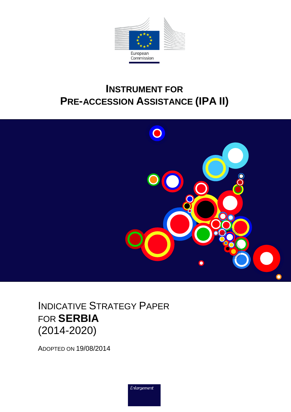

# **INSTRUMENT FOR PRE-ACCESSION ASSISTANCE (IPA II)**



INDICATIVE STRATEGY PAPER FOR **SERBIA** (2014-2020)

ADOPTED ON 19/08/2014

Enlargement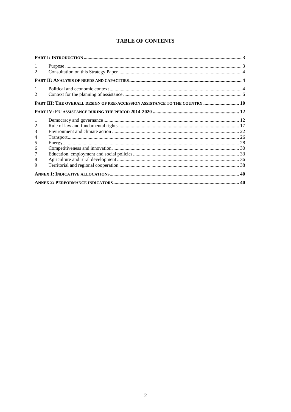| 1<br>$\mathfrak{D}$ |                                                                             |  |
|---------------------|-----------------------------------------------------------------------------|--|
|                     |                                                                             |  |
| 1<br>$\mathfrak{D}$ |                                                                             |  |
|                     | PART III: THE OVERALL DESIGN OF PRE-ACCESSION ASSISTANCE TO THE COUNTRY  10 |  |
|                     |                                                                             |  |
| -1                  |                                                                             |  |
| 2                   |                                                                             |  |
| 3                   |                                                                             |  |
| 4                   |                                                                             |  |
| 5                   |                                                                             |  |
| 6                   |                                                                             |  |
| 7                   |                                                                             |  |
| 8                   |                                                                             |  |
| 9                   |                                                                             |  |
|                     |                                                                             |  |
|                     |                                                                             |  |

#### **TABLE OF CONTENTS**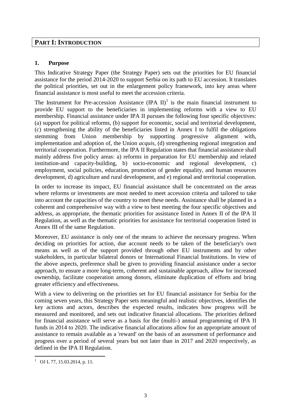## <span id="page-2-0"></span>**PART I: INTRODUCTION**

#### <span id="page-2-1"></span>**1. Purpose**

This Indicative Strategy Paper (the Strategy Paper) sets out the priorities for EU financial assistance for the period 2014-2020 to support Serbia on its path to EU accession. It translates the political priorities, set out in the enlargement policy framework, into key areas where financial assistance is most useful to meet the accession criteria.

The Instrument for Pre-accession Assistance  $(IPA II)^1$  is the main financial instrument to provide EU support to the beneficiaries in implementing reforms with a view to EU membership. Financial assistance under IPA II pursues the following four specific objectives: (a) support for political reforms, (b) support for economic, social and territorial development, (c) strengthening the ability of the beneficiaries listed in Annex I to fulfil the obligations stemming from Union membership by supporting progressive alignment with, implementation and adoption of, the Union *acquis*, (d) strengthening regional integration and territorial cooperation. Furthermore, the IPA II Regulation states that financial assistance shall mainly address five policy areas: a) reforms in preparation for EU membership and related institution-and capacity-building, b) socio-economic and regional development, c) employment, social policies, education, promotion of gender equality, and human resources development, d) agriculture and rural development, and e) regional and territorial cooperation.

In order to increase its impact, EU financial assistance shall be concentrated on the areas where reforms or investments are most needed to meet accession criteria and tailored to take into account the capacities of the country to meet these needs. Assistance shall be planned in a coherent and comprehensive way with a view to best meeting the four specific objectives and address, as appropriate, the thematic priorities for assistance listed in Annex II of the IPA II Regulation, as well as the thematic priorities for assistance for territorial cooperation listed in Annex III of the same Regulation.

Moreover, EU assistance is only one of the means to achieve the necessary progress. When deciding on priorities for action, due account needs to be taken of the beneficiary's own means as well as of the support provided through other EU instruments and by other stakeholders, in particular bilateral donors or International Financial Institutions. In view of the above aspects, preference shall be given to providing financial assistance under a sector approach, to ensure a more long-term, coherent and sustainable approach, allow for increased ownership, facilitate cooperation among donors, eliminate duplication of efforts and bring greater efficiency and effectiveness.

With a view to delivering on the priorities set for EU financial assistance for Serbia for the coming seven years, this Strategy Paper sets meaningful and realistic objectives, identifies the key actions and actors, describes the expected results, indicates how progress will be measured and monitored, and sets out indicative financial allocations. The priorities defined for financial assistance will serve as a basis for the (multi-) annual programming of IPA II funds in 2014 to 2020. The indicative financial allocations allow for an appropriate amount of assistance to remain available as a 'reward' on the basis of an assessment of performance and progress over a period of several years but not later than in 2017 and 2020 respectively, as defined in the IPA II Regulation.

 $\overline{a}$ 

<sup>&</sup>lt;sup>1</sup> OJ L 77, 15.03.2014, p. 11.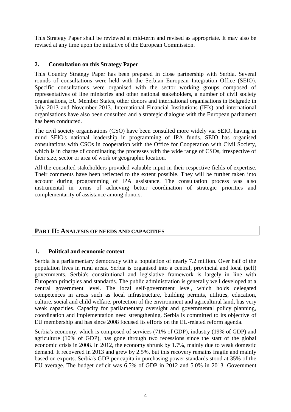This Strategy Paper shall be reviewed at mid-term and revised as appropriate. It may also be revised at any time upon the initiative of the European Commission.

#### <span id="page-3-0"></span>**2. Consultation on this Strategy Paper**

This Country Strategy Paper has been prepared in close partnership with Serbia. Several rounds of consultations were held with the Serbian European Integration Office (SEIO). Specific consultations were organised with the sector working groups composed of representatives of line ministries and other national stakeholders, a number of civil society organisations, EU Member States, other donors and international organisations in Belgrade in July 2013 and November 2013. International Financial Institutions (IFIs) and international organisations have also been consulted and a strategic dialogue with the European parliament has been conducted.

The civil society organisations (CSO) have been consulted more widely via SEIO, having in mind SEIO's national leadership in programming of IPA funds. SEIO has organised consultations with CSOs in cooperation with the Office for Cooperation with Civil Society, which is in charge of coordinating the processes with the wide range of CSOs, irrespective of their size, sector or area of work or geographic location.

All the consulted stakeholders provided valuable input in their respective fields of expertise. Their comments have been reflected to the extent possible. They will be further taken into account during programming of IPA assistance. The consultation process was also instrumental in terms of achieving better coordination of strategic priorities and complementarity of assistance among donors.

## <span id="page-3-1"></span>**PART II: ANALYSIS OF NEEDS AND CAPACITIES**

#### <span id="page-3-2"></span>**1. Political and economic context**

Serbia is a parliamentary democracy with a population of nearly 7.2 million. Over half of the population lives in rural areas. Serbia is organised into a central, provincial and local (self) governments. Serbia's constitutional and legislative framework is largely in line with European principles and standards. The public administration is generally well developed at a central government level. The local self-government level, which holds delegated competences in areas such as local infrastructure, building permits, utilities, education, culture, social and child welfare, protection of the environment and agricultural land, has very weak capacities. Capacity for parliamentary oversight and governmental policy planning, coordination and implementation need strengthening. Serbia is committed to its objective of EU membership and has since 2008 focused its efforts on the EU-related reform agenda.

Serbia's economy, which is composed of services (71% of GDP), industry (19% of GDP) and agriculture (10% of GDP), has gone through two recessions since the start of the global economic crisis in 2008. In 2012, the economy shrunk by 1.7%, mainly due to weak domestic demand. It recovered in 2013 and grew by 2.5%, but this recovery remains fragile and mainly based on exports. Serbia's GDP per capita in purchasing power standards stood at 35% of the EU average. The budget deficit was 6.5% of GDP in 2012 and 5.0% in 2013. Government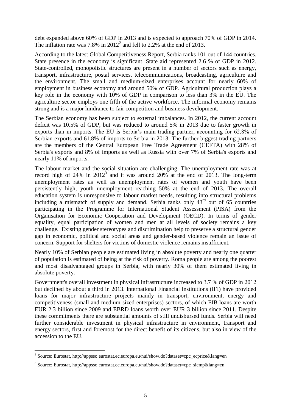debt expanded above 60% of GDP in 2013 and is expected to approach 70% of GDP in 2014. The inflation rate was 7.8% in  $2012^2$  and fell to 2.2% at the end of 2013.

According to the latest Global Competitiveness Report, Serbia ranks 101 out of 144 countries. State presence in the economy is significant. State aid represented 2.6 % of GDP in 2012. State-controlled, monopolistic structures are present in a number of sectors such as energy, transport, infrastructure, postal services, telecommunications, broadcasting, agriculture and the environment. The small and medium-sized enterprises account for nearly 60% of employment in business economy and around 50% of GDP. Agricultural production plays a key role in the economy with 10% of GDP in comparison to less than 3% in the EU. The agriculture sector employs one fifth of the active workforce. The informal economy remains strong and is a major hindrance to fair competition and business development.

The Serbian economy has been subject to external imbalances. In 2012, the current account deficit was 10.5% of GDP, but was reduced to around 5% in 2013 due to faster growth in exports than in imports. The EU is Serbia's main trading partner, accounting for 62.8% of Serbian exports and 61.8% of imports to Serbia in 2013. The further biggest trading partners are the members of the Central European Free Trade Agreement (CEFTA) with 28% of Serbia's exports and 8% of imports as well as Russia with over 7% of Serbia's exports and nearly 11% of imports.

The labour market and the social situation are challenging. The unemployment rate was at record high of 24% in  $2012<sup>3</sup>$  and it was around 20% at the end of 2013. The long-term unemployment rates as well as unemployment rates of women and youth have been persistently high, youth unemployment reaching 50% at the end of 2013. The overall education system is unresponsive to labour market needs, resulting into structural problems including a mismatch of supply and demand. Serbia ranks only 43rd out of 65 countries participating in the Programme for International Student Assessment (PISA) from the Organisation for Economic Cooperation and Development (OECD). In terms of gender equality, equal participation of women and men at all levels of society remains a key challenge. Existing gender stereotypes and discrimination help to preserve a structural gender gap in economic, political and social areas and gender-based violence remain an issue of concern. Support for shelters for victims of domestic violence remains insufficient.

Nearly 10% of Serbian people are estimated living in absolute poverty and nearly one quarter of population is estimated of being at the risk of poverty. Roma people are among the poorest and most disadvantaged groups in Serbia, with nearly 30% of them estimated living in absolute poverty.

Government's overall investment in physical infrastructure increased to 3.7 % of GDP in 2012 but declined by about a third in 2013. International Financial Institutions (IFI) have provided loans for major infrastructure projects mainly in transport, environment, energy and competitiveness (small and medium-sized enterprises) sectors, of which EIB loans are worth EUR 2.3 billion since 2009 and EBRD loans worth over EUR 3 billion since 2011. Despite these commitments there are substantial amounts of still undisbursed funds. Serbia will need further considerable investment in physical infrastructure in environment, transport and energy sectors, first and foremost for the direct benefit of its citizens, but also in view of the accession to the EU.

 2 Source: Eurostat, http://appsso.eurostat.ec.europa.eu/nui/show.do?dataset=cpc\_ecprice&lang=en

<sup>&</sup>lt;sup>3</sup> Source: Eurostat, http://appsso.eurostat.ec.europa.eu/nui/show.do?dataset=cpc\_siemp&lang=en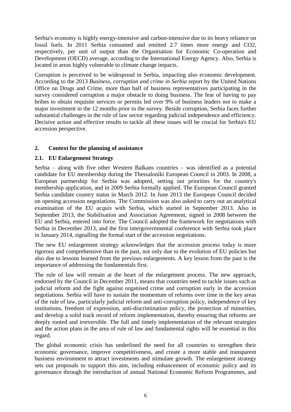Serbia's economy is highly energy-intensive and carbon-intensive due to its heavy reliance on fossil fuels. In 2011 Serbia consumed and emitted 2.7 times more energy and CO2, respectively, per unit of output than the Organisation for Economic Co-operation and Development (OECD) average, according to the International Energy Agency. Also, Serbia is located in areas highly vulnerable to climate change impacts.

Corruption is perceived to be widespread in Serbia, impacting also economic development. According to the 2013 *Business, corruption and crime in Serbia* report by the United Nations Office on Drugs and Crime, more than half of business representatives participating in the survey considered corruption a major obstacle to doing business. The fear of having to pay bribes to obtain requisite services or permits led over 9% of business leaders not to make a major investment in the 12 months prior to the survey. Beside corruption, Serbia faces further substantial challenges in the rule of law sector regarding judicial independence and efficiency. Decisive action and effective results to tackle all these issues will be crucial for Serbia's EU accession perspective.

#### <span id="page-5-0"></span>**2. Context for the planning of assistance**

#### **2.1. EU Enlargement Strategy**

Serbia – along with five other Western Balkans countries – was identified as a potential candidate for EU membership during the Thessaloniki European Council in 2003. In 2008, a European partnership for Serbia was adopted, setting out priorities for the country's membership application, and in 2009 Serbia formally applied. The European Council granted Serbia candidate country status in March 2012. In June 2013 the European Council decided on opening accession negotiations. The Commission was also asked to carry out an analytical examination of the EU *acquis* with Serbia*,* which started in September 2013. Also in September 2013, the Stabilisation and Association Agreement, signed in 2008 between the EU and Serbia, entered into force. The Council adopted the framework for negotiations with Serbia in December 2013, and the first intergovernmental conference with Serbia took place in January 2014, signalling the formal start of the accession negotiations.

The new EU enlargement strategy acknowledges that the accession process today is more rigorous and comprehensive than in the past, not only due to the evolution of EU policies but also due to lessons learned from the previous enlargements. A key lesson from the past is the importance of addressing the fundamentals first.

The rule of law will remain at the heart of the enlargement process. The new approach, endorsed by the Council in December 2011, means that countries need to tackle issues such as judicial reform and the fight against organised crime and corruption early in the accession negotiations. Serbia will have to sustain the momentum of reforms over time in the key areas of the rule of law, particularly judicial reform and anti-corruption policy, independence of key institutions, freedom of expression, anti-discrimination policy, the protection of minorities, and develop a solid track record of reform implementation, thereby ensuring that reforms are deeply rooted and irreversible. The full and timely implementation of the relevant strategies and the action plans in the area of rule of law and fundamental rights will be essential in this regard.

The global economic crisis has underlined the need for all countries to strengthen their economic governance, improve competitiveness, and create a more stable and transparent business environment to attract investments and stimulate growth. The enlargement strategy sets out proposals to support this aim, including enhancement of economic policy and its governance through the introduction of annual National Economic Reform Programmes, and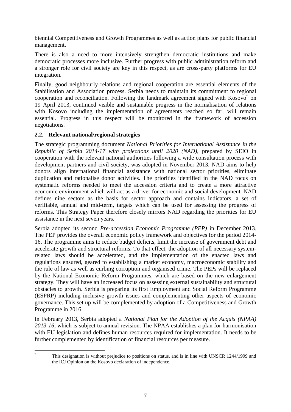biennial Competitiveness and Growth Programmes as well as action plans for public financial management.

There is also a need to more intensively strengthen democratic institutions and make democratic processes more inclusive. Further progress with public administration reform and a stronger role for civil society are key in this respect, as are cross-party platforms for EU integration.

Finally, good neighbourly relations and regional cooperation are essential elements of the Stabilisation and Association process. Serbia needs to maintain its commitment to regional cooperation and reconciliation. Following the landmark agreement signed with Kosovo<sup>\*</sup> on 19 April 2013, continued visible and sustainable progress in the normalisation of relations with Kosovo including the implementation of agreements reached so far, will remain essential. Progress in this respect will be monitored in the framework of accession negotiations.

#### **2.2. Relevant national/regional strategies**

The strategic programming document *National Priorities for International Assistance in the Republic of Serbia 2014-17 with projections until 2020 (NAD)*, prepared by SEIO in cooperation with the relevant national authorities following a wide consultation process with development partners and civil society, was adopted in November 2013. NAD aims to help donors align international financial assistance with national sector priorities, eliminate duplication and rationalise donor activities. The priorities identified in the NAD focus on systematic reforms needed to meet the accession criteria and to create a more attractive economic environment which will act as a driver for economic and social development. NAD defines nine sectors as the basis for sector approach and contains indicators, a set of verifiable, annual and mid-term, targets which can be used for assessing the progress of reforms. This Strategy Paper therefore closely mirrors NAD regarding the priorities for EU assistance in the next seven years.

Serbia adopted its second *Pre-accession Economic Programme (PEP)* in December 2013. The PEP provides the overall economic policy framework and objectives for the period 2014- 16. The programme aims to reduce budget deficits, limit the increase of government debt and accelerate growth and structural reforms. To that effect, the adoption of all necessary systemrelated laws should be accelerated, and the implementation of the enacted laws and regulations ensured, geared to establishing a market economy, macroeconomic stability and the rule of law as well as curbing corruption and organised crime. The PEPs will be replaced by the National Economic Reform Programmes, which are based on the new enlargement strategy. They will have an increased focus on assessing external sustainability and structural obstacles to growth. Serbia is preparing its first Employment and Social Reform Programme (ESPRP) including inclusive growth issues and complementing other aspects of economic governance. This set up will be complemented by adoption of a Competitiveness and Growth Programme in 2016.

In February 2013, Serbia adopted a *National Plan for the Adoption of the Acquis (NPAA) 2013-16*, which is subject to annual revision. The NPAA establishes a plan for harmonisation with EU legislation and defines human resources required for implementation. It needs to be further complemented by identification of financial resources per measure.

 $\overline{a}$ This designation is without prejudice to positions on status, and is in line with UNSCR 1244/1999 and the ICJ Opinion on the Kosovo declaration of independence.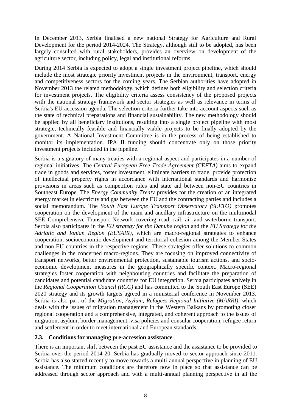In December 2013, Serbia finalised a new national Strategy for Agriculture and Rural Development for the period 2014-2024. The Strategy, although still to be adopted, has been largely consulted with rural stakeholders, provides an overview on development of the agriculture sector, including policy, legal and institutional reforms.

During 2014 Serbia is expected to adopt a single investment project pipeline, which should include the most strategic priority investment projects in the environment, transport, energy and competitiveness sectors for the coming years. The Serbian authorities have adopted in November 2013 the related methodology, which defines both eligibility and selection criteria for investment projects. The eligibility criteria assess consistency of the proposed projects with the national strategy framework and sector strategies as well as relevance in terms of Serbia's EU accession agenda. The selection criteria further take into account aspects such as the state of technical preparations and financial sustainability. The new methodology should be applied by all beneficiary institutions, resulting into a single project pipeline with most strategic, technically feasible and financially viable projects to be finally adopted by the government. A National Investment Committee is in the process of being established to monitor its implementation. IPA II funding should concentrate only on those priority investment projects included in the pipeline.

Serbia is a signatory of many treaties with a regional aspect and participates in a number of regional initiatives. The *Central European Free Trade Agreement (CEFTA)* aims to expand trade in goods and services, foster investment, eliminate barriers to trade, provide protection of intellectual property rights in accordance with international standards and harmonise provisions in areas such as competition rules and state aid between non-EU countries in Southeast Europe. The *Energy Community Treaty* provides for the creation of an integrated energy market in electricity and gas between the EU and the contracting parties and includes a social memorandum. The *South East Europe Transport Observatory (SEETO)* promotes cooperation on the development of the main and ancillary infrastructure on the multimodal SEE Comprehensive Transport Network covering road, rail, air and waterborne transport. Serbia also participates in the *EU strategy for the Danube region* and the *EU Strategy for the Adriatic and Ionian Region (EUSAIR)*, which are macro-regional strategies to enhance cooperation, socioeconomic development and territorial cohesion among the Member States and non-EU countries in the respective regions. These strategies offer solutions to common challenges in the concerned macro-regions. They are focusing on improved connectivity of transport networks, better environmental protection, sustainable tourism actions, and socioeconomic development measures in the geographically specific context. Macro-regional strategies foster cooperation with neighbouring countries and facilitate the preparation of candidates and potential candidate countries for EU integration. Serbia participates actively in the *Regional Cooperation Council (RCC)* and has committed to the South East Europe (SEE) 2020 strategy and its growth targets agreed in a ministerial conference in November 2013. Serbia is also part of the *Migration, Asylum, Refugees Regional Initiative (MARRI),* which deals with the issues of migration management in the Western Balkans by promoting closer regional cooperation and a comprehensive, integrated, and coherent approach to the issues of migration, asylum, border management, visa policies and consular cooperation, refugee return and settlement in order to meet international and European standards.

#### **2.3. Conditions for managing pre-accession assistance**

There is an important shift between the past EU assistance and the assistance to be provided to Serbia over the period 2014-20. Serbia has gradually moved to sector approach since 2011. Serbia has also started recently to move towards a multi-annual perspective in planning of EU assistance. The minimum conditions are therefore now in place so that assistance can be addressed through sector approach and with a multi-annual planning perspective in all the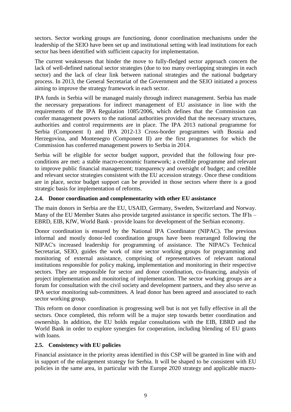sectors. Sector working groups are functioning, donor coordination mechanisms under the leadership of the SEIO have been set up and institutional setting with lead institutions for each sector has been identified with sufficient capacity for implementation.

The current weaknesses that hinder the move to fully-fledged sector approach concern the lack of well-defined national sector strategies (due to too many overlapping strategies in each sector) and the lack of clear link between national strategies and the national budgetary process. In 2013, the General Secretariat of the Government and the SEIO initiated a process aiming to improve the strategy framework in each sector.

IPA funds in Serbia will be managed mainly through indirect management. Serbia has made the necessary preparations for indirect management of EU assistance in line with the requirements of the IPA Regulation 1085/2006, which defines that the Commission can confer management powers to the national authorities provided that the necessary structures, authorities and control requirements are in place. The IPA 2013 national programme for Serbia (Component I) and IPA 2012-13 Cross-border programmes with Bosnia and Herzegovina, and Montenegro (Component II) are the first programmes for which the Commission has conferred management powers to Serbia in 2014.

Serbia will be eligible for sector budget support, provided that the following four preconditions are met: a stable macro-economic framework; a credible programme and relevant to improve public financial management; transparency and oversight of budget; and credible and relevant sector strategies consistent with the EU accession strategy. Once these conditions are in place, sector budget support can be provided in those sectors where there is a good strategic basis for implementation of reforms.

#### **2.4. Donor coordination and complementarity with other EU assistance**

The main donors in Serbia are the EU, USAID, Germany, Sweden, Switzerland and Norway. Many of the EU Member States also provide targeted assistance in specific sectors. The IFIs – EBRD, EIB, KfW, World Bank - provide loans for development of the Serbian economy.

Donor coordination is ensured by the National IPA Coordinator (NIPAC). The previous informal and mostly donor-led coordination groups have been rearranged following the NIPAC's increased leadership for programming of assistance. The NIPAC's Technical Secretariat, SEIO, guides the work of nine sector working groups for programming and monitoring of external assistance, comprising of representatives of relevant national institutions responsible for policy making, implementation and monitoring in their respective sectors. They are responsible for sector and donor coordination, co-financing, analysis of project implementation and monitoring of implementation. The sector working groups are a forum for consultation with the civil society and development partners, and they also serve as IPA sector monitoring sub-committees. A lead donor has been agreed and associated to each sector working group.

This reform on donor coordination is progressing well but is not yet fully effective in all the sectors. Once completed, this reform will be a major step towards better coordination and ownership. In addition, the EU holds regular consultations with the EIB, EBRD and the World Bank in order to explore synergies for cooperation, including blending of EU grants with loans.

#### **2.5. Consistency with EU policies**

Financial assistance in the priority areas identified in this CSP will be granted in line with and in support of the enlargement strategy for Serbia. It will be shaped to be consistent with EU policies in the same area, in particular with the Europe 2020 strategy and applicable macro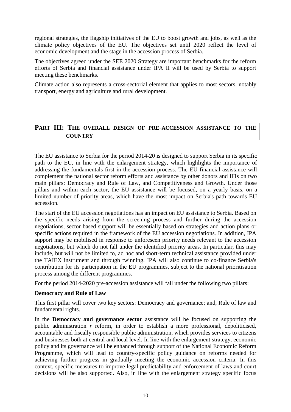regional strategies, the flagship initiatives of the EU to boost growth and jobs, as well as the climate policy objectives of the EU. The objectives set until 2020 reflect the level of economic development and the stage in the accession process of Serbia.

The objectives agreed under the SEE 2020 Strategy are important benchmarks for the reform efforts of Serbia and financial assistance under IPA II will be used by Serbia to support meeting these benchmarks.

Climate action also represents a cross-sectorial element that applies to most sectors, notably transport, energy and agriculture and rural development.

## <span id="page-9-0"></span>**PART III: THE OVERALL DESIGN OF PRE-ACCESSION ASSISTANCE TO THE COUNTRY**

The EU assistance to Serbia for the period 2014-20 is designed to support Serbia in its specific path to the EU, in line with the enlargement strategy, which highlights the importance of addressing the fundamentals first in the accession process. The EU financial assistance will complement the national sector reform efforts and assistance by other donors and IFIs on two main pillars: Democracy and Rule of Law, and Competitiveness and Growth. Under those pillars and within each sector, the EU assistance will be focused, on a yearly basis, on a limited number of priority areas, which have the most impact on Serbia's path towards EU accession.

The start of the EU accession negotiations has an impact on EU assistance to Serbia. Based on the specific needs arising from the screening process and further during the accession negotiations, sector based support will be essentially based on strategies and action plans or specific actions required in the framework of the EU accession negotiations. In addition, IPA support may be mobilised in response to unforeseen priority needs relevant to the accession negotiations, but which do not fall under the identified priority areas. In particular, this may include, but will not be limited to, ad hoc and short-term technical assistance provided under the TAIEX instrument and through twinning. IPA will also continue to co-finance Serbia's contribution for its participation in the EU programmes, subject to the national prioritisation process among the different programmes.

For the period 2014-2020 pre-accession assistance will fall under the following two pillars:

#### **Democracy and Rule of Law**

This first pillar will cover two key sectors: Democracy and governance; and, Rule of law and fundamental rights.

In the **Democracy and governance sector** assistance will be focused on supporting the public administration *r* reform, in order to establish a more professional, depoliticised, accountable and fiscally responsible public administration, which provides services to citizens and businesses both at central and local level. In line with the enlargement strategy, economic policy and its governance will be enhanced through support of the National Economic Reform Programme, which will lead to country-specific policy guidance on reforms needed for achieving further progress in gradually meeting the economic accession criteria. In this context, specific measures to improve legal predictability and enforcement of laws and court decisions will be also supported. Also, in line with the enlargement strategy specific focus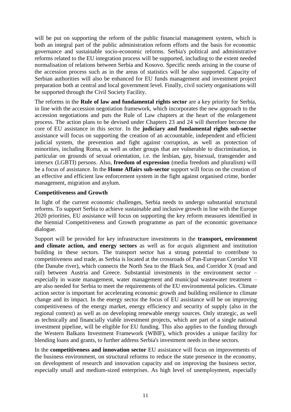will be put on supporting the reform of the public financial management system, which is both an integral part of the public administration reform efforts and the basis for economic governance and sustainable socio-economic reforms. Serbia's political and administrative reforms related to the EU integration process will be supported, including to the extent needed normalisation of relations between Serbia and Kosovo. Specific needs arising in the course of the accession process such as in the areas of statistics will be also supported. Capacity of Serbian authorities will also be enhanced for EU funds management and investment project preparation both at central and local government level. Finally, civil society organisations will be supported through the Civil Society Facility.

The reforms in the **Rule of law and fundamental rights sector** are a key priority for Serbia, in line with the accession negotiation framework, which incorporates the new approach to the accession negotiations and puts the Rule of Law chapters at the heart of the enlargement process. The action plans to be devised under Chapters 23 and 24 will therefore become the core of EU assistance in this sector. In the **judiciary and fundamental rights sub-sector** assistance will focus on supporting the creation of an accountable, independent and efficient judicial system, the prevention and fight against corruption, as well as protection of minorities, including Roma, as well as other groups that are vulnerable to discrimination, in particular on grounds of sexual orientation, i.e. the lesbian, gay, bisexual, transgender and intersex (LGBTI) persons. Also, **freedom of expression** (media freedom and pluralism) will be a focus of assistance. In the **Home Affairs sub-sector** support will focus on the creation of an effective and efficient law enforcement system in the fight against organised crime, border management, migration and asylum.

#### **Competitiveness and Growth**

In light of the current economic challenges, Serbia needs to undergo substantial structural reforms. To support Serbia to achieve sustainable and inclusive growth in line with the Europe 2020 priorities, EU assistance will focus on supporting the key reform measures identified in the biennial Competitiveness and Growth programme as part of the economic governance dialogue.

Support will be provided for key infrastructure investments in the **transport, environment and climate action, and energy sectors** as well as for *acquis* alignment and institution building in these sectors. The transport sector has a strong potential to contribute to competitiveness and trade, as Serbia is located at the crossroads of Pan-European Corridor VII (the Danube river), which connects the North Sea to the Black Sea, and Corridor X (road and rail) between Austria and Greece. Substantial investments in the environment sector – especially in waste management, water management and municipal wastewater treatment – are also needed for Serbia to meet the requirements of the EU environmental policies. Climate action sector is important for accelerating economic growth and building resilience to climate change and its impact. In the energy sector the focus of EU assistance will be on improving competitiveness of the energy market, energy efficiency and security of supply (also in the regional context) as well as on developing renewable energy sources. Only strategic, as well as technically and financially viable investment projects, which are part of a single national investment pipeline, will be eligible for EU funding. This also applies to the funding through the Western Balkans Investment Framework (WBIF), which provides a unique facility for blending loans and grants, to further address Serbia's investment needs in these sectors.

In the **competitiveness and innovation sector** EU assistance will focus on improvements of the business environment, on structural reforms to reduce the state presence in the economy, on development of research and innovation capacity and on improving the business sector, especially small and medium-sized enterprises. As high level of unemployment, especially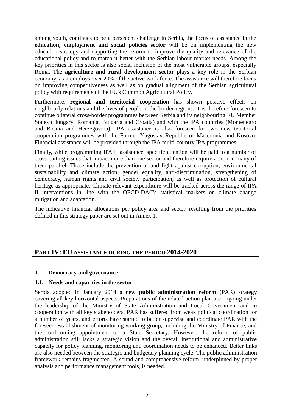among youth, continues to be a persistent challenge in Serbia, the focus of assistance in the **education, employment and social policies sector** will be on implementing the new education strategy and supporting the reform to improve the quality and relevance of the educational policy and to match it better with the Serbian labour market needs. Among the key priorities in this sector is also social inclusion of the most vulnerable groups, especially Roma. The **agriculture and rural development sector** plays a key role in the Serbian economy, as it employs over 20% of the active work force. The assistance will therefore focus on improving competitiveness as well as on gradual alignment of the Serbian agricultural policy with requirements of the EU's Common Agricultural Policy.

Furthermore, **regional and territorial cooperation** has shown positive effects on neighbourly relations and the lives of people in the border regions. It is therefore foreseen to continue bilateral cross-border programmes between Serbia and its neighbouring EU Member States (Hungary, Romania, Bulgaria and Croatia) and with the IPA countries (Montenegro and Bosnia and Herzegovina). IPA assistance is also foreseen for two new territorial cooperation programmes with the Former Yugoslav Republic of Macedonia and Kosovo. Financial assistance will be provided through the IPA multi-country IPA programmes.

Finally, while programming IPA II assistance, specific attention will be paid to a number of cross-cutting issues that impact more than one sector and therefore require action in many of them parallel. These include the prevention of and fight against corruption, environmental sustainability and climate action, gender equality, anti-discrimination, strengthening of democracy, human rights and civil society participation, as well as protection of cultural heritage as appropriate. Climate relevant expenditure will be tracked across the range of IPA II interventions in line with the OECD-DAC's statistical markers on climate change mitigation and adaptation.

The indicative financial allocations per policy area and sector, resulting from the priorities defined in this strategy paper are set out in Annex 1.

## <span id="page-11-0"></span>**PART IV: EU ASSISTANCE DURING THE PERIOD 2014-2020**

#### <span id="page-11-1"></span>**1. Democracy and governance**

#### **1.1. Needs and capacities in the sector**

Serbia adopted in January 2014 a new **public administration reform** (PAR) strategy covering all key horizontal aspects. Preparations of the related action plan are ongoing under the leadership of the Ministry of State Administration and Local Government and in cooperation with all key stakeholders. PAR has suffered from weak political coordination for a number of years, and efforts have started to better supervise and coordinate PAR with the foreseen establishment of monitoring working group, including the Ministry of Finance, and the forthcoming appointment of a State Secretary. However, the reform of public administration still lacks a strategic vision and the overall institutional and administrative capacity for policy planning, monitoring and coordination needs to be enhanced. Better links are also needed between the strategic and budgetary planning cycle. The public administration framework remains fragmented. A sound and comprehensive reform, underpinned by proper analysis and performance management tools, is needed.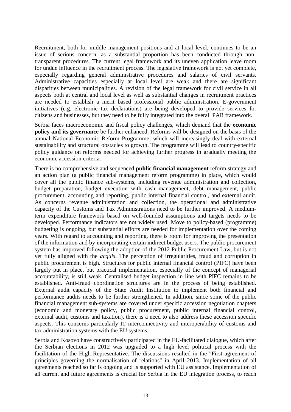Recruitment, both for middle management positions and at local level, continues to be an issue of serious concern, as a substantial proportion has been conducted through nontransparent procedures. The current legal framework and its uneven application leave room for undue influence in the recruitment process. The legislative framework is not yet complete, especially regarding general administrative procedures and salaries of civil servants. Administrative capacities especially at local level are weak and there are significant disparities between municipalities. A revision of the legal framework for civil service in all aspects both at central and local level as well as substantial changes in recruitment practices are needed to establish a merit based professional public administration. E-government initiatives (e.g. electronic tax declarations) are being developed to provide services for citizens and businesses, but they need to be fully integrated into the overall PAR framework.

Serbia faces macroeconomic and fiscal policy challenges, which demand that the **economic policy and its governance** be further enhanced. Reforms will be designed on the basis of the annual National Economic Reform Programme, which will increasingly deal with external sustainability and structural obstacles to growth. The programme will lead to country-specific policy guidance on reforms needed for achieving further progress in gradually meeting the economic accession criteria.

There is no comprehensive and sequenced **public financial management** reform strategy and an action plan (a public financial management reform programme) in place, which would cover all the public finance sub-systems, including revenue administration and collection, budget preparation, budget execution with cash management, debt management, public procurement, accounting and reporting, public internal financial control, and external audit. As concerns revenue administration and collection, the operational and administrative capacity of the Customs and Tax Administrations need to be further improved. A mediumterm expenditure framework based on well-founded assumptions and targets needs to be developed. Performance indicators are not widely used. Move to policy-based (programme) budgeting is ongoing, but substantial efforts are needed for implementation over the coming years. With regard to accounting and reporting, there is room for improving the presentation of the information and by incorporating certain indirect budget users. The public procurement system has improved following the adoption of the 2012 Public Procurement Law, but is not yet fully aligned with the *acquis*. The perception of irregularities, fraud and corruption in public procurement is high. Structures for public internal financial control (PIFC) have been largely put in place, but practical implementation, especially of the concept of managerial accountability, is still weak. Centralised budget inspection in line with PIFC remains to be established. Anti-fraud coordination structures are in the process of being established. External audit capacity of the State Audit Institution to implement both financial and performance audits needs to be further strengthened. In addition, since some of the public financial management sub-systems are covered under specific accession negotiation chapters (economic and monetary policy, public procurement, public internal financial control, external audit, customs and taxation), there is a need to also address these accession specific aspects. This concerns particularly IT interconnectivity and interoperability of customs and tax administration systems with the EU systems.

Serbia and Kosovo have constructively participated in the EU-facilitated dialogue, which after the Serbian elections in 2012 was upgraded to a high level political process with the facilitation of the High Representative. The discussions resulted in the "First agreement of principles governing the normalisation of relations" in April 2013. Implementation of all agreements reached so far is ongoing and is supported with EU assistance. Implementation of all current and future agreements is crucial for Serbia in the EU integration process, to reach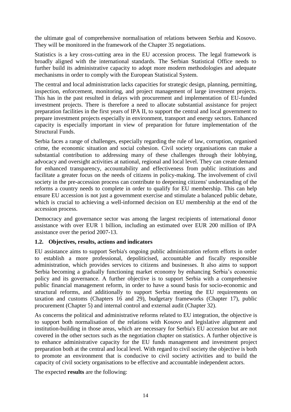the ultimate goal of comprehensive normalisation of relations between Serbia and Kosovo. They will be monitored in the framework of the Chapter 35 negotiations.

Statistics is a key cross-cutting area in the EU accession process. The legal framework is broadly aligned with the international standards. The Serbian Statistical Office needs to further build its administrative capacity to adopt more modern methodologies and adequate mechanisms in order to comply with the European Statistical System.

The central and local administration lacks capacities for strategic design, planning, permitting, inspection, enforcement, monitoring, and project management of large investment projects. This has in the past resulted in delays with procurement and implementation of EU-funded investment projects. There is therefore a need to allocate substantial assistance for project preparation facilities in the first years of IPA II, to support the central and local government to prepare investment projects especially in environment, transport and energy sectors. Enhanced capacity is especially important in view of preparation for future implementation of the Structural Funds.

Serbia faces a range of challenges, especially regarding the rule of law, corruption, organised crime, the economic situation and social cohesion. Civil society organisations can make a substantial contribution to addressing many of these challenges through their lobbying, advocacy and oversight activities at national, regional and local level. They can create demand for enhanced transparency, accountability and effectiveness from public institutions and facilitate a greater focus on the needs of citizens in policy-making. The involvement of civil society in the pre-accession process can contribute to deepening citizens' understanding of the reforms a country needs to complete in order to qualify for EU membership. This can help ensure EU accession is not just a government exercise and stimulate a balanced public debate, which is crucial to achieving a well-informed decision on EU membership at the end of the accession process.

Democracy and governance sector was among the largest recipients of international donor assistance with over EUR 1 billion, including an estimated over EUR 200 million of IPA assistance over the period 2007-13.

#### **1.2. Objectives, results, actions and indicators**

EU assistance aims to support Serbia's ongoing public administration reform efforts in order to establish a more professional, depoliticised, accountable and fiscally responsible administration, which provides services to citizens and businesses. It also aims to support Serbia becoming a gradually functioning market economy by enhancing Serbia's economic policy and its governance. A further objective is to support Serbia with a comprehensive public financial management reform, in order to have a sound basis for socio-economic and structural reforms, and additionally to support Serbia meeting the EU requirements on taxation and customs (Chapters 16 and 29), budgetary frameworks (Chapter 17), public procurement (Chapter 5) and internal control and external audit (Chapter 32).

As concerns the political and administrative reforms related to EU integration, the objective is to support both normalisation of the relations with Kosovo and legislative alignment and institution-building in those areas, which are necessary for Serbia's EU accession but are not covered in the other sectors such as the negotiation chapter on statistics. A further objective is to enhance administrative capacity for the EU funds management and investment project preparation both at the central and local level. With regard to civil society the objective is both to promote an environment that is conducive to civil society activities and to build the capacity of civil society organisations to be effective and accountable independent actors.

The expected **results** are the following: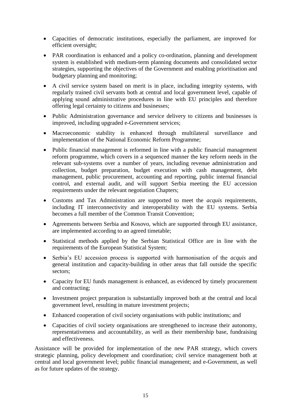- Capacities of democratic institutions, especially the parliament, are improved for efficient oversight;
- PAR coordination is enhanced and a policy co-ordination, planning and development system is established with medium-term planning documents and consolidated sector strategies, supporting the objectives of the Government and enabling prioritisation and budgetary planning and monitoring;
- A civil service system based on merit is in place, including integrity systems, with regularly trained civil servants both at central and local government level, capable of applying sound administrative procedures in line with EU principles and therefore offering legal certainty to citizens and businesses;
- Public Administration governance and service delivery to citizens and businesses is improved, including upgraded e-Government services;
- Macroeconomic stability is enhanced through multilateral surveillance and implementation of the National Economic Reform Programme;
- Public financial management is reformed in line with a public financial management reform programme, which covers in a sequenced manner the key reform needs in the relevant sub-systems over a number of years, including revenue administration and collection, budget preparation, budget execution with cash management, debt management, public procurement, accounting and reporting, public internal financial control, and external audit, and will support Serbia meeting the EU accession requirements under the relevant negotiation Chapters;
- Customs and Tax Administration are supported to meet the *acquis* requirements, including IT interconnectivity and interoperability with the EU systems. Serbia becomes a full member of the Common Transit Convention;
- Agreements between Serbia and Kosovo, which are supported through EU assistance, are implemented according to an agreed timetable;
- Statistical methods applied by the Serbian Statistical Office are in line with the requirements of the European Statistical System;
- Serbia's EU accession process is supported with harmonisation of the *acquis* and general institution and capacity-building in other areas that fall outside the specific sectors;
- Capacity for EU funds management is enhanced, as evidenced by timely procurement and contracting;
- Investment project preparation is substantially improved both at the central and local government level, resulting in mature investment projects;
- Enhanced cooperation of civil society organisations with public institutions; and
- Capacities of civil society organisations are strengthened to increase their autonomy, representativeness and accountability, as well as their membership base, fundraising and effectiveness.

Assistance will be provided for implementation of the new PAR strategy, which covers strategic planning, policy development and coordination; civil service management both at central and local government level; public financial management; and e-Government, as well as for future updates of the strategy.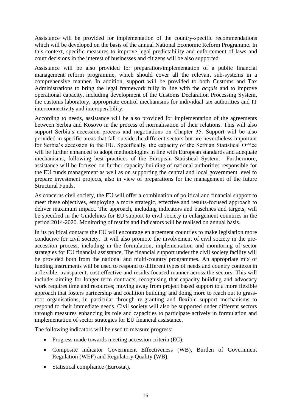Assistance will be provided for implementation of the country-specific recommendations which will be developed on the basis of the annual National Economic Reform Programme. In this context, specific measures to improve legal predictability and enforcement of laws and court decisions in the interest of businesses and citizens will be also supported.

Assistance will be also provided for preparation/implementation of a public financial management reform programme, which should cover all the relevant sub-systems in a comprehensive manner. In addition, support will be provided to both Customs and Tax Administrations to bring the legal framework fully in line with the *acquis* and to improve operational capacity, including development of the Customs Declaration Processing System, the customs laboratory, appropriate control mechanisms for individual tax authorities and IT interconnectivity and interoperability.

According to needs, assistance will be also provided for implementation of the agreements between Serbia and Kosovo in the process of normalisation of their relations. This will also support Serbia's accession process and negotiations on Chapter 35. Support will be also provided in specific areas that fall outside the different sectors but are nevertheless important for Serbia's accession to the EU. Specifically, the capacity of the Serbian Statistical Office will be further enhanced to adopt methodologies in line with European standards and adequate mechanisms, following best practices of the European Statistical System. Furthermore, assistance will be focused on further capacity building of national authorities responsible for the EU funds management as well as on supporting the central and local government level to prepare investment projects, also in view of preparations for the management of the future Structural Funds.

As concerns civil society, the EU will offer a combination of political and financial support to meet these objectives, employing a more strategic, effective and results-focused approach to deliver maximum impact. The approach, including indicators and baselines and targets, will be specified in the Guidelines for EU support to civil society in enlargement countries in the period 2014-2020. Monitoring of results and indicators will be realised on annual basis.

In its political contacts the EU will encourage enlargement countries to make legislation more conducive for civil society. It will also promote the involvement of civil society in the preaccession process, including in the formulation, implementation and monitoring of sector strategies for EU financial assistance. The financial support under the civil society facility will be provided both from the national and multi-country programmes. An appropriate mix of funding instruments will be used to respond to different types of needs and country contexts in a flexible, transparent, cost-effective and results focused manner across the sectors. This will include: aiming for longer term contracts, recognising that capacity building and advocacy work requires time and resources; moving away from project based support to a more flexible approach that fosters partnership and coalition building; and doing more to reach out to grassroot organisations, in particular through re-granting and flexible support mechanisms to respond to their immediate needs. Civil society will also be supported under different sectors through measures enhancing its role and capacities to participate actively in formulation and implementation of sector strategies for EU financial assistance.

The following indicators will be used to measure progress:

- Progress made towards meeting accession criteria (EC);
- Composite indicator Government Effectiveness (WB), Burden of Government Regulation (WEF) and Regulatory Quality (WB);
- Statistical compliance (Eurostat).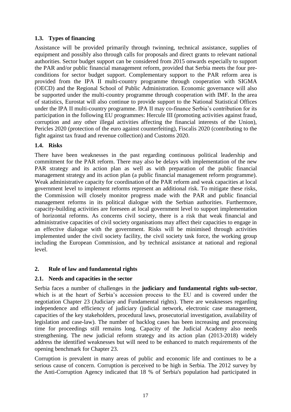## **1.3. Types of financing**

Assistance will be provided primarily through twinning, technical assistance, supplies of equipment and possibly also through calls for proposals and direct grants to relevant national authorities. Sector budget support can be considered from 2015 onwards especially to support the PAR and/or public financial management reform, provided that Serbia meets the four preconditions for sector budget support. Complementary support to the PAR reform area is provided from the IPA II multi-country programme through cooperation with SIGMA (OECD) and the Regional School of Public Administration. Economic governance will also be supported under the multi-country programme through cooperation with IMF. In the area of statistics, Eurostat will also continue to provide support to the National Statistical Offices under the IPA II multi-country programme. IPA II may co-finance Serbia's contribution for its participation in the following EU programmes: Hercule III (promoting activities against fraud, corruption and any other illegal activities affecting the financial interests of the Union), Pericles 2020 (protection of the euro against counterfeiting), Fiscalis 2020 (contributing to the fight against tax fraud and revenue collection) and Customs 2020.

#### **1.4. Risks**

There have been weaknesses in the past regarding continuous political leadership and commitment for the PAR reform. There may also be delays with implementation of the new PAR strategy and its action plan as well as with preparation of the public financial management strategy and its action plan (a public financial management reform programme). Weak administrative capacity for coordination of the PAR reform and weak capacities at local government level to implement reforms represent an additional risk. To mitigate these risks, the Commission will closely monitor progress made with the PAR and public financial management reforms in its political dialogue with the Serbian authorities. Furthermore, capacity-building activities are foreseen at local government level to support implementation of horizontal reforms. As concerns civil society, there is a risk that weak financial and administrative capacities of civil society organisations may affect their capacities to engage in an effective dialogue with the government. Risks will be minimised through activities implemented under the civil society facility, the civil society task force, the working group including the European Commission, and by technical assistance at national and regional level.

## <span id="page-16-0"></span>**2. Rule of law and fundamental rights**

#### **2.1. Needs and capacities in the sector**

Serbia faces a number of challenges in the **judiciary and fundamental rights sub-sector**, which is at the heart of Serbia's accession process to the EU and is covered under the negotiation Chapter 23 (Judiciary and Fundamental rights). There are weaknesses regarding independence and efficiency of judiciary (judicial network, electronic case management, capacities of the key stakeholders, procedural laws, prosecutorial investigation, availability of legislation and case-law). The number of backlog cases has been increasing and processing time for proceedings still remains long. Capacity of the Judicial Academy also needs strengthening. The new judicial reform strategy and its action plan (2013-2018) widely address the identified weaknesses but will need to be enhanced to match requirements of the opening benchmark for Chapter 23.

Corruption is prevalent in many areas of public and economic life and continues to be a serious cause of concern. Corruption is perceived to be high in Serbia. The 2012 survey by the Anti-Corruption Agency indicated that 18 % of Serbia's population had participated in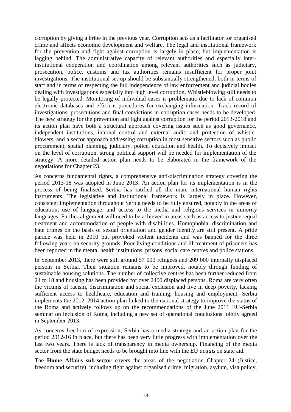corruption by giving a bribe in the previous year. Corruption acts as a facilitator for organised crime and affects economic development and welfare. The legal and institutional framework for the prevention and fight against corruption is largely in place, but implementation is lagging behind. The administrative capacity of relevant authorities and especially interinstitutional cooperation and coordination among relevant authorities such as judiciary, prosecution, police, customs and tax authorities remains insufficient for proper joint investigations. The institutional set-up should be substantially strengthened, both in terms of staff and in terms of respecting the full independence of law enforcement and judicial bodies dealing with investigations especially into high level corruption. Whistleblowing still needs to be legally protected. Monitoring of individual cases is problematic due to lack of common electronic databases and efficient procedures for exchanging information. Track record of investigations, prosecutions and final convictions in corruption cases needs to be developed. The new strategy for the prevention and fight against corruption for the period 2013-2018 and its action plan have both a structural approach covering issues such as good governance, independent institutions, internal control and external audit, and protection of whistleblowers, and a sector approach addressing corruption in most sensitive sectors such as public procurement, spatial planning, judiciary, police, education and health. To decisively impact on the level of corruption, strong political support will be needed for implementation of the strategy. A more detailed action plan needs to be elaborated in the framework of the negotiations for Chapter 23.

As concerns fundamental rights, a comprehensive anti-discrimination strategy covering the period 2013-18 was adopted in June 2013. An action plan for its implementation is in the process of being finalised. Serbia has ratified all the main international human rights instruments. The legislative and institutional framework is largely in place. However, consistent implementation throughout Serbia needs to be fully ensured, notably in the areas of education, use of language, and access to the media and religious services in minority languages. Further alignment will need to be achieved in areas such as access to justice, equal treatment and accommodation of people with disabilities. Homophobia, discrimination and hate crimes on the basis of sexual orientation and gender identity are still present. A pride parade was held in 2010 but provoked violent incidents and was banned for the three following years on security grounds. Poor living conditions and ill-treatment of prisoners has been reported in the mental health institutions, prisons, social care centres and police stations.

In September 2013, there were still around 57 000 refugees and 209 000 internally displaced persons in Serbia. Their situation remains to be improved, notably through funding of sustainable housing solutions. The number of collective centres has been further reduced from 24 to 18 and housing has been provided for over 2400 displaced persons. Roma are very often the victims of racism, discrimination and social exclusion and live in deep poverty, lacking sufficient access to healthcare, education and training, housing and employment. Serbia implements the 2012–2014 action plan linked to the national strategy to improve the status of the Roma and actively follows up on the recommendations of the June 2011 EU-Serbia seminar on inclusion of Roma, including a new set of operational conclusions jointly agreed in September 2013.

As concerns freedom of expression, Serbia has a media strategy and an action plan for the period 2012-16 in place, but there has been very little progress with implementation over the last two years. There is lack of transparency in media ownership. Financing of the media sector from the state budget needs to be brought into line with the EU *acquis* on state aid.

The **Home Affairs sub-sector** covers the areas of the negotiation Chapter 24 (Justice, freedom and security), including fight against organised crime, migration, asylum, visa policy,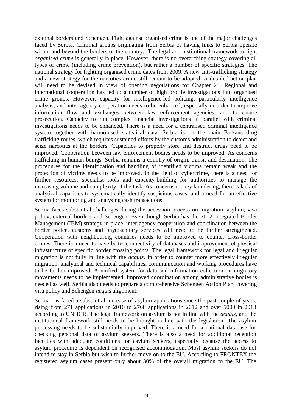external borders and Schengen. Fight against organised crime is one of the major challenges faced by Serbia. Criminal groups originating from Serbia or having links to Serbia operate within and beyond the borders of the country. The legal and institutional framework to fight *organised crime* is generally in place. However, there is no overarching strategy covering all types of crime (including crime prevention), but rather a number of specific strategies. The national strategy for fighting organised crime dates from 2009. A new anti-trafficking strategy and a new strategy for the narcotics crime still remain to be adopted. A detailed action plan will need to be devised in view of opening negotiations for Chapter 24. Regional and international cooperation has led to a number of high profile investigations into organised crime groups. However, capacity for intelligence-led policing, particularly intelligence analysis, and inter-agency cooperation needs to be enhanced, especially in order to improve information flow and exchanges between law enforcement agencies, and to ensure prosecution. Capacity to run complex financial investigations in parallel with criminal investigations needs to be enhanced. There is a need for a centralised criminal intelligence system together with harmonised statistical data. Serbia is on the main Balkans drug trafficking routes, which requires sustained efforts by the customs administration to detect and seize narcotics at the borders. Capacities to properly store and destruct drugs need to be improved. Cooperation between law enforcement bodies needs to be improved. As concerns trafficking in human beings, Serbia remains a country of origin, transit and destination. The procedures for the identification and handling of identified victims remain weak and the protection of victims needs to be improved. In the field of cybercrime, there is a need for further resources, specialist tools and capacity-building for authorities to manage the increasing volume and complexity of the task. As concerns money laundering, there is lack of analytical capacities to systematically identify suspicious cases, and a need for an effective system for monitoring and analysing cash transactions.

Serbia faces substantial challenges during the accession process on migration, asylum, visa policy, external borders and Schengen, Even though Serbia has the 2012 Integrated Border Management (IBM) strategy in place, inter-agency cooperation and coordination between the border police, customs and phytosanitary services will need to be further strengthened. Cooperation with neighbouring countries needs to be improved to counter cross-border crimes. There is a need to have better connectivity of databases and improvement of physical infrastructure of specific border crossing points. The legal framework for legal and irregular migration is not fully in line with the *acquis*. In order to counter more effectively irregular migration, analytical and technical capabilities, communication and working procedures have to be further improved. A unified system for data and information collection on migratory movements needs to be implemented. Improved coordination among administrative bodies is needed as well. Serbia also needs to prepare a comprehensive Schengen Action Plan, covering visa policy and Schengen *acquis* alignment.

Serbia has faced a substantial increase of asylum applications since the past couple of years, rising from 271 applications in 2010 to 2768 applications in 2012 and over 5000 in 2013 according to UNHCR. The legal framework on asylum is not in line with the *acquis*, and the institutional framework still needs to be brought in line with the legislation. The asylum processing needs to be substantially improved. There is a need for a national database for checking personal data of asylum seekers. There is also a need for additional reception facilities with adequate conditions for asylum seekers, especially because the access to asylum procedure is dependent on recognised accommodation. Most asylum seekers do not intend to stay in Serbia but wish to further move on to the EU. According to FRONTEX the registered asylum cases present only about 30% of the overall migration to the EU. The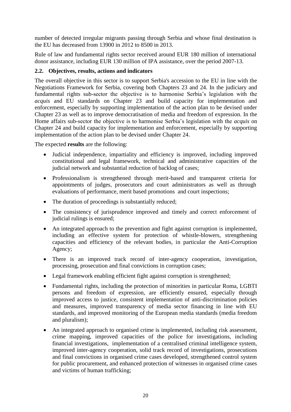number of detected irregular migrants passing through Serbia and whose final destination is the EU has decreased from 13900 in 2012 to 8500 in 2013.

Rule of law and fundamental rights sector received around EUR 180 million of international donor assistance, including EUR 130 million of IPA assistance, over the period 2007-13.

#### **2.2. Objectives, results, actions and indicators**

The overall objective in this sector is to support Serbia's accession to the EU in line with the Negotiations Framework for Serbia, covering both Chapters 23 and 24. In the judiciary and fundamental rights sub-sector the objective is to harmonise Serbia's legislation with the *acquis* and EU standards on Chapter 23 and build capacity for implementation and enforcement, especially by supporting implementation of the action plan to be devised under Chapter 23 as well as to improve democratisation of media and freedom of expression. In the Home affairs sub-sector the objective is to harmonise Serbia's legislation with the *acquis* on Chapter 24 and build capacity for implementation and enforcement, especially by supporting implementation of the action plan to be devised under Chapter 24.

The expected **results** are the following:

- Judicial independence, impartiality and efficiency is improved, including improved constitutional and legal framework, technical and administrative capacities of the judicial network and substantial reduction of backlog of cases;
- Professionalism is strengthened through merit-based and transparent criteria for appointments of judges, prosecutors and court administrators as well as through evaluations of performance, merit based promotions and court inspections;
- The duration of proceedings is substantially reduced;
- The consistency of jurisprudence improved and timely and correct enforcement of judicial rulings is ensured;
- An integrated approach to the prevention and fight against corruption is implemented, including an effective system for protection of whistle-blowers, strengthening capacities and efficiency of the relevant bodies, in particular the Anti-Corruption Agency;
- There is an improved track record of inter-agency cooperation, investigation, processing, prosecution and final convictions in corruption cases;
- Legal framework enabling efficient fight against corruption is strengthened;
- Fundamental rights, including the protection of minorities in particular Roma, LGBTI persons and freedom of expression, are efficiently ensured, especially through improved access to justice, consistent implementation of anti-discrimination policies and measures, improved transparency of media sector financing in line with EU standards, and improved monitoring of the European media standards (media freedom and pluralism);
- An integrated approach to organised crime is implemented, including risk assessment, crime mapping, improved capacities of the police for investigations, including financial investigations, implementation of a centralised criminal intelligence system, improved inter-agency cooperation, solid track record of investigations, prosecutions and final convictions in organised crime cases developed, strengthened control system for public procurement, and enhanced protection of witnesses in organised crime cases and victims of human trafficking;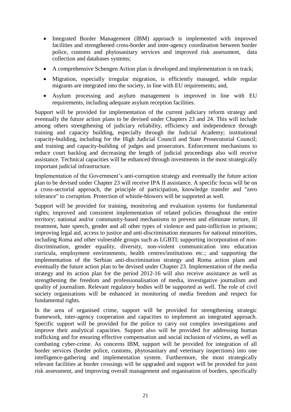- Integrated Border Management (IBM) approach is implemented with improved facilities and strengthened cross-border and inter-agency coordination between border police, customs and phytosanitary services and improved risk assessment, data collection and databases systems;
- A comprehensive Schengen Action plan is developed and implementation is on track;
- Migration, especially irregular migration, is efficiently managed, while regular migrants are integrated into the society, in line with EU requirements; and,
- Asylum processing and asylum management is improved in line with EU requirements, including adequate asylum reception facilities.

Support will be provided for implementation of the current judiciary reform strategy and eventually the future action plans to be devised under Chapters 23 and 24. This will include among others strengthening of judiciary reliability, efficiency and independence through training and capacity building, especially through the Judicial Academy; institutional capacity-building, including for the High Judicial Council and State Prosecutorial Council; and training and capacity-building of judges and prosecutors. Enforcement mechanisms to reduce court backlog and decreasing the length of judicial proceedings also will receive assistance. Technical capacities will be enhanced through investments in the most strategically important judicial infrastructure.

Implementation of the Government's anti-corruption strategy and eventually the future action plan to be devised under Chapter 23 will receive IPA II assistance. A specific focus will be on a cross-sectorial approach, the principle of participation, knowledge transfer and "zero tolerance" to corruption. Protection of whistle-blowers will be supported as well.

Support will be provided for training, monitoring and evaluation systems for fundamental rights; improved and consistent implementation of related policies throughout the entire territory; national and/or community-based mechanisms to prevent and eliminate torture, ill treatment, hate speech, gender and all other types of violence and pain-infliction in prisons; improving legal aid, access to justice and anti-discrimination measures for national minorities, including Roma and other vulnerable groups such as LGBTI; supporting incorporation of nondiscrimination, gender equality, diversity, non-violent communication into education curricula, employment environments, health centres/institutions etc.; and supporting the implementation of the Serbian anti-discrimination strategy and Roma action plans and eventually the future action plan to be devised under Chapter 23. Implementation of the media strategy and its action plan for the period 2012-16 will also receive assistance as well as strengthening the freedom and professionalisation of media, investigative journalism and quality of journalism. Relevant regulatory bodies will be supported as well. The role of civil society organisations will be enhanced in monitoring of media freedom and respect for fundamental rights.

In the area of organised crime, support will be provided for strengthening strategic framework, inter-agency cooperation and capacities to implement an integrated approach. Specific support will be provided for the police to carry out complex investigations and improve their analytical capacities. Support also will be provided for addressing human trafficking and for ensuring effective compensation and social inclusion of victims, as well as combating cyber-crime. As concerns IBM, support will be provided for integration of all border services (border police, customs, phytosanitary and veterinary inspections) into one intelligence-gathering and implementation system. Furthermore, the most strategically relevant facilities at border crossings will be upgraded and support will be provided for joint risk assessment, and improving overall management and organisation of borders, specifically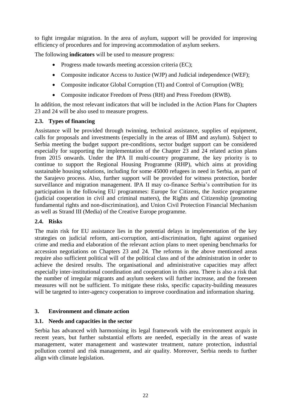to fight irregular migration. In the area of asylum, support will be provided for improving efficiency of procedures and for improving accommodation of asylum seekers.

The following **indicators** will be used to measure progress:

- Progress made towards meeting accession criteria (EC);
- Composite indicator Access to Justice (WJP) and Judicial independence (WEF);
- Composite indicator Global Corruption (TI) and Control of Corruption (WB);
- Composite indicator Freedom of Press (RH) and Press Freedom (RWB).

In addition, the most relevant indicators that will be included in the Action Plans for Chapters 23 and 24 will be also used to measure progress.

#### **2.3. Types of financing**

Assistance will be provided through twinning, technical assistance, supplies of equipment, calls for proposals and investments (especially in the areas of IBM and asylum). Subject to Serbia meeting the budget support pre-conditions, sector budget support can be considered especially for supporting the implementation of the Chapter 23 and 24 related action plans from 2015 onwards. Under the IPA II multi-country programme, the key priority is to continue to support the Regional Housing Programme (RHP), which aims at providing sustainable housing solutions, including for some 45000 refugees in need in Serbia, as part of the Sarajevo process. Also, further support will be provided for witness protection, border surveillance and migration management. IPA II may co-finance Serbia's contribution for its participation in the following EU programmes: Europe for Citizens, the Justice programme (judicial cooperation in civil and criminal matters), the Rights and Citizenship (promoting fundamental rights and non-discrimination), and Union Civil Protection Financial Mechanism as well as Strand III (Media) of the Creative Europe programme.

#### **2.4. Risks**

The main risk for EU assistance lies in the potential delays in implementation of the key strategies on judicial reform, anti-corruption, anti-discrimination, fight against organised crime and media and elaboration of the relevant action plans to meet opening benchmarks for accession negotiations on Chapters 23 and 24. The reforms in the above mentioned areas require also sufficient political will of the political class and of the administration in order to achieve the desired results. The organisational and administrative capacities may affect especially inter-institutional coordination and cooperation in this area. There is also a risk that the number of irregular migrants and asylum seekers will further increase, and the foreseen measures will not be sufficient. To mitigate these risks, specific capacity-building measures will be targeted to inter-agency cooperation to improve coordination and information sharing.

#### <span id="page-21-0"></span>**3. Environment and climate action**

#### **3.1. Needs and capacities in the sector**

Serbia has advanced with harmonising its legal framework with the environment *acquis* in recent years, but further substantial efforts are needed, especially in the areas of waste management, water management and wastewater treatment, nature protection, industrial pollution control and risk management, and air quality. Moreover, Serbia needs to further align with climate legislation.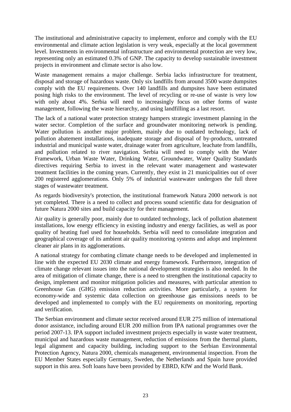The institutional and administrative capacity to implement, enforce and comply with the EU environmental and climate action legislation is very weak, especially at the local government level. Investments in environmental infrastructure and environmental protection are very low, representing only an estimated 0.3% of GNP. The capacity to develop sustainable investment projects in environment and climate sector is also low.

Waste management remains a major challenge. Serbia lacks infrastructure for treatment, disposal and storage of hazardous waste. Only six landfills from around 3500 waste dumpsites comply with the EU requirements. Over 140 landfills and dumpsites have been estimated posing high risks to the environment. The level of recycling or re-use of waste is very low with only about 4%. Serbia will need to increasingly focus on other forms of waste management, following the waste hierarchy, and using landfilling as a last resort.

The lack of a national water protection strategy hampers strategic investment planning in the water sector. Completion of the surface and groundwater monitoring network is pending. Water pollution is another major problem, mainly due to outdated technology, lack of pollution abatement installations, inadequate storage and disposal of by-products, untreated industrial and municipal waste water, drainage water from agriculture, leachate from landfills, and pollution related to river navigation. Serbia will need to comply with the Water Framework, Urban Waste Water, Drinking Water, Groundwater, Water Quality Standards directives requiring Serbia to invest in the relevant water management and wastewater treatment facilities in the coming years. Currently, they exist in 21 municipalities out of over 200 registered agglomerations. Only 5% of industrial wastewater undergoes the full three stages of wastewater treatment.

As regards biodiversity's protection, the institutional framework Natura 2000 network is not yet completed. There is a need to collect and process sound scientific data for designation of future Natura 2000 sites and build capacity for their management.

Air quality is generally poor, mainly due to outdated technology, lack of pollution abatement installations, low energy efficiency in existing industry and energy facilities, as well as poor quality of heating fuel used for households. Serbia will need to consolidate integration and geographical coverage of its ambient air quality monitoring systems and adopt and implement cleaner air plans in its agglomerations.

A national strategy for combating climate change needs to be developed and implemented in line with the expected EU 2030 climate and energy framework. Furthermore, integration of climate change relevant issues into the national development strategies is also needed. In the area of mitigation of climate change, there is a need to strengthen the institutional capacity to design, implement and monitor mitigation policies and measures, with particular attention to Greenhouse Gas (GHG) emission reduction activities. More particularly, a system for economy-wide and systemic data collection on greenhouse gas emissions needs to be developed and implemented to comply with the EU requirements on monitoring, reporting and verification.

The Serbian environment and climate sector received around EUR 275 million of international donor assistance, including around EUR 200 million from IPA national programmes over the period 2007-13. IPA support included investment projects especially in waste water treatment, municipal and hazardous waste management, reduction of emissions from the thermal plants, legal alignment and capacity building, including support to the Serbian Environmental Protection Agency, Natura 2000, chemicals management, environmental inspection. From the EU Member States especially Germany, Sweden, the Netherlands and Spain have provided support in this area. Soft loans have been provided by EBRD, KfW and the World Bank.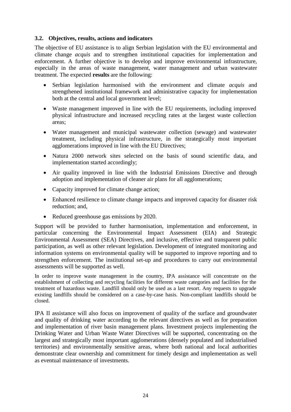#### **3.2. Objectives, results, actions and indicators**

The objective of EU assistance is to align Serbian legislation with the EU environmental and climate change *acquis* and to strengthen institutional capacities for implementation and enforcement. A further objective is to develop and improve environmental infrastructure, especially in the areas of waste management, water management and urban wastewater treatment. The expected **results** are the following:

- Serbian legislation harmonised with the environment and climate *acquis* and strengthened institutional framework and administrative capacity for implementation both at the central and local government level;
- Waste management improved in line with the EU requirements, including improved physical infrastructure and increased recycling rates at the largest waste collection areas;
- Water management and municipal wastewater collection (sewage) and wastewater treatment, including physical infrastructure, in the strategically most important agglomerations improved in line with the EU Directives;
- Natura 2000 network sites selected on the basis of sound scientific data, and implementation started accordingly;
- Air quality improved in line with the Industrial Emissions Directive and through adoption and implementation of cleaner air plans for all agglomerations;
- Capacity improved for climate change action;
- Enhanced resilience to climate change impacts and improved capacity for disaster risk reduction; and,
- Reduced greenhouse gas emissions by 2020.

Support will be provided to further harmonisation, implementation and enforcement, in particular concerning the Environmental Impact Assessment (EIA) and Strategic Environmental Assessment (SEA) Directives, and inclusive, effective and transparent public participation, as well as other relevant legislation. Development of integrated monitoring and information systems on environmental quality will be supported to improve reporting and to strengthen enforcement. The institutional set-up and procedures to carry out environmental assessments will be supported as well.

In order to improve waste management in the country, IPA assistance will concentrate on the establishment of collecting and recycling facilities for different waste categories and facilities for the treatment of hazardous waste. Landfill should only be used as a last resort. Any requests to upgrade existing landfills should be considered on a case-by-case basis. Non-compliant landfills should be closed.

IPA II assistance will also focus on improvement of quality of the surface and groundwater and quality of drinking water according to the relevant directives as well as for preparation and implementation of river basin management plans. Investment projects implementing the Drinking Water and Urban Waste Water Directives will be supported, concentrating on the largest and strategically most important agglomerations (densely populated and industrialised territories) and environmentally sensitive areas, where both national and local authorities demonstrate clear ownership and commitment for timely design and implementation as well as eventual maintenance of investments.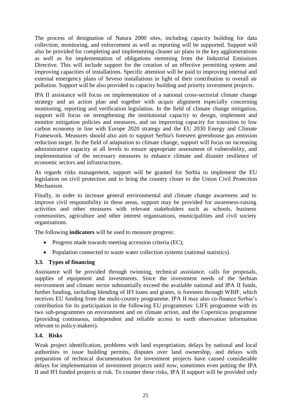The process of designation of Natura 2000 sites, including capacity building for data collection, monitoring, and enforcement as well as reporting will be supported. Support will also be provided for completing and implementing cleaner air plans in the key agglomerations as well as for implementation of obligations stemming from the Industrial Emissions Directive. This will include support for the creation of an effective permitting system and improving capacities of installations. Specific attention will be paid to improving internal and external emergency plans of Seveso installations in light of their contribution to overall air pollution. Support will be also provided to capacity building and priority investment projects.

IPA II assistance will focus on implementation of a national cross-sectorial climate change strategy and an action plan and together with *acquis* alignment especially concerning monitoring, reporting and verification legislation. In the field of climate change mitigation, support will focus on strengthening the institutional capacity to design, implement and monitor mitigation policies and measures, and on improving capacity for transition to low carbon economy in line with Europe 2020 strategy and the EU 2030 Energy and Climate Framework. Measures should also aim to support Serbia's foreseen greenhouse gas emission reduction target. In the field of adaptation to climate change, support will focus on increasing administrative capacity at all levels to ensure appropriate assessment of vulnerability, and implementation of the necessary measures to enhance climate and disaster resilience of economic sectors and infrastructures.

As regards risks management, support will be granted for Serbia to implement the EU legislation on civil protection and to bring the country closer to the Union Civil Protection Mechanism.

Finally, in order to increase general environmental and climate change awareness and to improve civil responsibility in these areas, support may be provided for awareness-raising activities and other measures with relevant stakeholders such as schools, business communities, agriculture and other interest organisations, municipalities and civil society organisations.

The following **indicators** will be used to measure progress:

- Progress made towards meeting accession criteria (EC);
- Population connected to waste water collection systems (national statistics).

#### **3.3. Types of financing**

Assistance will be provided through twinning, technical assistance, calls for proposals, supplies of equipment and investments. Since the investment needs of the Serbian environment and climate sector substantially exceed the available national and IPA II funds, further funding, including blending of IFI loans and grants, is foreseen through WBIF, which receives EU funding from the multi-country programme. IPA II may also co-finance Serbia's contribution for its participation in the following EU programmes: LIFE programme with its two sub-programmes on environment and on climate action, and the Copernicus programme (providing continuous, independent and reliable access to earth observation information relevant to policy-makers).

#### **3.4. Risks**

Weak project identification, problems with land expropriation, delays by national and local authorities to issue building permits, disputes over land ownership, and delays with preparation of technical documentation for investment projects have caused considerable delays for implementation of investment projects until now, sometimes even putting the IPA II and IFI funded projects at risk. To counter these risks, IPA II support will be provided only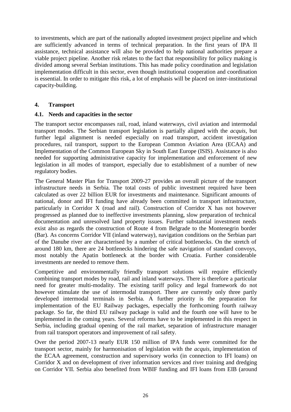to investments, which are part of the nationally adopted investment project pipeline and which are sufficiently advanced in terms of technical preparation. In the first years of IPA II assistance, technical assistance will also be provided to help national authorities prepare a viable project pipeline. Another risk relates to the fact that responsibility for policy making is divided among several Serbian institutions. This has made policy coordination and legislation implementation difficult in this sector, even though institutional cooperation and coordination is essential. In order to mitigate this risk, a lot of emphasis will be placed on inter-institutional capacity-building.

#### <span id="page-25-0"></span>**4. Transport**

#### **4.1. Needs and capacities in the sector**

The transport sector encompasses rail, road, inland waterways, civil aviation and intermodal transport modes. The Serbian transport legislation is partially aligned with the *acquis*, but further legal alignment is needed especially on road transport, accident investigation procedures, rail transport, support to the European Common Aviation Area (ECAA) and Implementation of the Common European Sky in South East Europe (ISIS). Assistance is also needed for supporting administrative capacity for implementation and enforcement of new legislation in all modes of transport, especially due to establishment of a number of new regulatory bodies.

The General Master Plan for Transport 2009-27 provides an overall picture of the transport infrastructure needs in Serbia. The total costs of public investment required have been calculated as over 22 billion EUR for investments and maintenance. Significant amounts of national, donor and IFI funding have already been committed in transport infrastructure, particularly in Corridor X (road and rail). Construction of Corridor X has not however progressed as planned due to ineffective investments planning, slow preparation of technical documentation and unresolved land property issues. Further substantial investment needs exist also as regards the construction of Route 4 from Belgrade to the Montenegrin border (Bar). As concerns Corridor VII (inland waterway), navigation conditions on the Serbian part of the Danube river are characterised by a number of critical bottlenecks. On the stretch of around 180 km, there are 24 bottlenecks hindering the safe navigation of standard convoys, most notably the Apatin bottleneck at the border with Croatia. Further considerable investments are needed to remove them.

Competitive and environmentally friendly transport solutions will require efficiently combining transport modes by road, rail and inland waterways. There is therefore a particular need for greater multi-modality. The existing tariff policy and legal framework do not however stimulate the use of intermodal transport. There are currently only three partly developed intermodal terminals in Serbia. A further priority is the preparation for implementation of the EU Railway packages, especially the forthcoming fourth railway package. So far, the third EU railway package is valid and the fourth one will have to be implemented in the coming years. Several reforms have to be implemented in this respect in Serbia, including gradual opening of the rail market, separation of infrastructure manager from rail transport operators and improvement of rail safety.

Over the period 2007-13 nearly EUR 150 million of IPA funds were committed for the transport sector, mainly for harmonisation of legislation with the *acquis*, implementation of the ECAA agreement, construction and supervisory works (in connection to IFI loans) on Corridor X and on development of river information services and river training and dredging on Corridor VII. Serbia also benefited from WBIF funding and IFI loans from EIB (around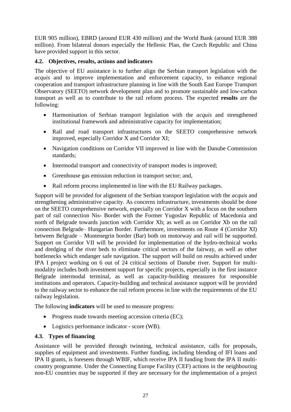EUR 905 million), EBRD (around EUR 430 million) and the World Bank (around EUR 388 million). From bilateral donors especially the Hellenic Plan, the Czech Republic and China have provided support in this sector.

#### **4.2. Objectives, results, actions and indicators**

The objective of EU assistance is to further align the Serbian transport legislation with the *acquis* and to improve implementation and enforcement capacity, to enhance regional cooperation and transport infrastructure planning in line with the South East Europe Transport Observatory (SEETO) network development plan and to promote sustainable and low-carbon transport as well as to contribute to the rail reform process. The expected **results** are the following:

- Harmonisation of Serbian transport legislation with the *acquis* and strengthened institutional framework and administrative capacity for implementation;
- Rail and road transport infrastructures on the SEETO comprehensive network improved, especially Corridor X and Corridor XI;
- Navigation conditions on Corridor VII improved in line with the Danube Commission standards;
- Intermodal transport and connectivity of transport modes is improved;
- Greenhouse gas emission reduction in transport sector; and,
- Rail reform process implemented in line with the EU Railway packages.

Support will be provided for alignment of the Serbian transport legislation with the *acquis* and strengthening administrative capacity. As concerns infrastructure, investments should be done on the SEETO comprehensive network, especially on Corridor X with a focus on the southern part of rail connection Nis- Border with the Former Yugoslav Republic of Macedonia and north of Belgrade towards junction with Corridor Xb; as well as on Corridor Xb on the rail connection Belgrade– Hungarian Border. Furthermore, investments on Route 4 (Corridor XI) between Belgrade – Montenegrin border (Bar) both on motorway and rail will be supported. Support on Corridor VII will be provided for implementation of the hydro-technical works and dredging of the river beds to eliminate critical sectors of the fairway, as well as other bottlenecks which endanger safe navigation. The support will build on results achieved under IPA I project working on 6 out of 24 critical sections of Danube river. Support for multimodality includes both investment support for specific projects, especially in the first instance Belgrade intermodal terminal, as well as capacity-building measures for responsible institutions and operators. Capacity-building and technical assistance support will be provided to the railway sector to enhance the rail reform process in line with the requirements of the EU railway legislation.

The following **indicators** will be used to measure progress:

- Progress made towards meeting accession criteria (EC);
- Logistics performance indicator score (WB).

#### **4.3. Types of financing**

Assistance will be provided through twinning, technical assistance, calls for proposals, supplies of equipment and investments. Further funding, including blending of IFI loans and IPA II grants, is foreseen through WBIF, which receive IPA II funding from the IPA II multicountry programme. Under the Connecting Europe Facility (CEF) actions in the neighbouring non-EU countries may be supported if they are necessary for the implementation of a project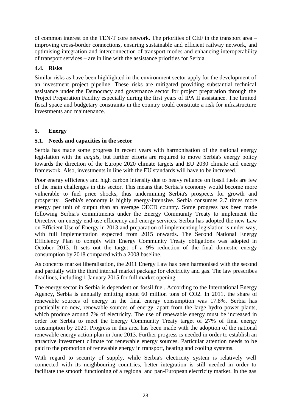of common interest on the TEN-T core network. The priorities of CEF in the transport area – improving cross-border connections, ensuring sustainable and efficient railway network, and optimising integration and interconnection of transport modes and enhancing interoperability of transport services – are in line with the assistance priorities for Serbia.

## **4.4. Risks**

Similar risks as have been highlighted in the environment sector apply for the development of an investment project pipeline. These risks are mitigated providing substantial technical assistance under the Democracy and governance sector for project preparation through the Project Preparation Facility especially during the first years of IPA II assistance. The limited fiscal space and budgetary constraints in the country could constitute a risk for infrastructure investments and maintenance.

#### <span id="page-27-0"></span>**5. Energy**

#### **5.1. Needs and capacities in the sector**

Serbia has made some progress in recent years with harmonisation of the national energy legislation with the *acquis*, but further efforts are required to move Serbia's energy policy towards the direction of the Europe 2020 climate targets and EU 2030 climate and energy framework. Also, investments in line with the EU standards will have to be increased.

Poor energy efficiency and high carbon intensity due to heavy reliance on fossil fuels are few of the main challenges in this sector. This means that Serbia's economy would become more vulnerable to fuel price shocks, thus undermining Serbia's prospects for growth and prosperity. Serbia's economy is highly energy-intensive. Serbia consumes 2.7 times more energy per unit of output than an average OECD country. Some progress has been made following Serbia's commitments under the Energy Community Treaty to implement the Directive on energy end-use efficiency and energy services. Serbia has adopted the new Law on Efficient Use of Energy in 2013 and preparation of implementing legislation is under way, with full implementation expected from 2015 onwards. The Second National Energy Efficiency Plan to comply with Energy Community Treaty obligations was adopted in October 2013. It sets out the target of a 9% reduction of the final domestic energy consumption by 2018 compared with a 2008 baseline.

As concerns market liberalisation, the 2011 Energy Law has been harmonised with the second and partially with the third internal market package for electricity and gas. The law prescribes deadlines, including 1 January 2015 for full market opening.

The energy sector in Serbia is dependent on fossil fuel. According to the International Energy Agency, Serbia is annually emitting about 60 million tons of CO2. In 2011, the share of renewable sources of energy in the final energy consumption was 17.8%. Serbia has practically no new, renewable sources of energy, apart from the large hydro power plants, which produce around 7% of electricity. The use of renewable energy must be increased in order for Serbia to meet the Energy Community Treaty target of 27% of final energy consumption by 2020. Progress in this area has been made with the adoption of the national renewable energy action plan in June 2013. Further progress is needed in order to establish an attractive investment climate for renewable energy sources. Particular attention needs to be paid to the promotion of renewable energy in transport, heating and cooling systems.

With regard to security of supply, while Serbia's electricity system is relatively well connected with its neighbouring countries, better integration is still needed in order to facilitate the smooth functioning of a regional and pan-European electricity market. In the gas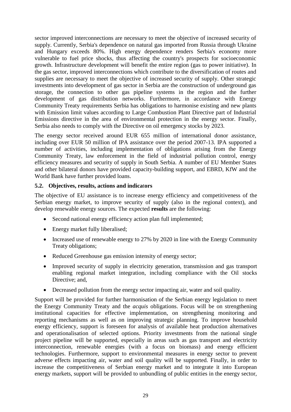sector improved interconnections are necessary to meet the objective of increased security of supply. Currently, Serbia's dependence on natural gas imported from Russia through Ukraine and Hungary exceeds 80%. High energy dependence renders Serbia's economy more vulnerable to fuel price shocks, thus affecting the country's prospects for socioeconomic growth. Infrastructure development will benefit the entire region (gas to power initiative). In the gas sector, improved interconnections which contribute to the diversification of routes and supplies are necessary to meet the objective of increased security of supply. Other strategic investments into development of gas sector in Serbia are the construction of underground gas storage, the connection to other gas pipeline systems in the region and the further development of gas distribution networks. Furthermore, in accordance with Energy Community Treaty requirements Serbia has obligations to harmonise existing and new plants with Emission limit values according to Large Combustion Plant Directive part of Industrial Emissions directive in the area of environmental protection in the energy sector. Finally, Serbia also needs to comply with the Directive on oil emergency stocks by 2023.

The energy sector received around EUR 655 million of international donor assistance, including over EUR 50 million of IPA assistance over the period 2007-13. IPA supported a number of activities, including implementation of obligations arising from the Energy Community Treaty, law enforcement in the field of industrial pollution control, energy efficiency measures and security of supply in South Serbia. A number of EU Member States and other bilateral donors have provided capacity-building support, and EBRD, KfW and the World Bank have further provided loans.

#### **5.2. Objectives, results, actions and indica**t**ors**

The objective of EU assistance is to increase energy efficiency and competitiveness of the Serbian energy market, to improve security of supply (also in the regional context), and develop renewable energy sources. The expected **results** are the following:

- Second national energy efficiency action plan full implemented;
- Energy market fully liberalised;
- Increased use of renewable energy to 27% by 2020 in line with the Energy Community Treaty obligations;
- Reduced Greenhouse gas emission intensity of energy sector;
- Improved security of supply in electricity generation, transmission and gas transport enabling regional market integration, including compliance with the Oil stocks Directive; and,
- Decreased pollution from the energy sector impacting air, water and soil quality.

Support will be provided for further harmonisation of the Serbian energy legislation to meet the Energy Community Treaty and the *acquis* obligations. Focus will be on strengthening institutional capacities for effective implementation, on strengthening monitoring and reporting mechanisms as well as on improving strategic planning. To improve household energy efficiency, support is foreseen for analysis of available heat production alternatives and operationalisation of selected options. Priority investments from the national single project pipeline will be supported, especially in areas such as gas transport and electricity interconnection, renewable energies (with a focus on biomass) and energy efficient technologies. Furthermore, support to environmental measures in energy sector to prevent adverse effects impacting air, water and soil quality will be supported. Finally, in order to increase the competitiveness of Serbian energy market and to integrate it into European energy markets, support will be provided to unbundling of public entities in the energy sector,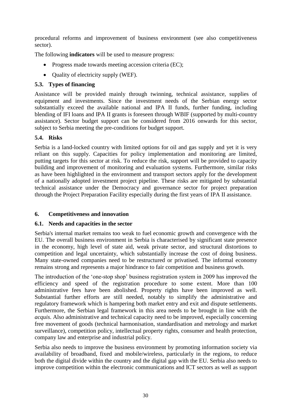procedural reforms and improvement of business environment (see also competitiveness sector).

The following **indicators** will be used to measure progress:

- Progress made towards meeting accession criteria (EC);
- Quality of electricity supply (WEF).

## **5.3. Types of financing**

Assistance will be provided mainly through twinning, technical assistance, supplies of equipment and investments. Since the investment needs of the Serbian energy sector substantially exceed the available national and IPA II funds, further funding, including blending of IFI loans and IPA II grants is foreseen through WBIF (supported by multi-country assistance). Sector budget support can be considered from 2016 onwards for this sector, subject to Serbia meeting the pre-conditions for budget support.

## **5.4. Risks**

Serbia is a land-locked country with limited options for oil and gas supply and yet it is very reliant on this supply. Capacities for policy implementation and monitoring are limited, putting targets for this sector at risk. To reduce the risk, support will be provided to capacity building and improvement of monitoring and evaluation systems. Furthermore, similar risks as have been highlighted in the environment and transport sectors apply for the development of a nationally adopted investment project pipeline. These risks are mitigated by substantial technical assistance under the Democracy and governance sector for project preparation through the Project Preparation Facility especially during the first years of IPA II assistance.

## <span id="page-29-0"></span>**6. Competitiveness and innovation**

## **6.1. Needs and capacities in the sector**

Serbia's internal market remains too weak to fuel economic growth and convergence with the EU. The overall business environment in Serbia is characterised by significant state presence in the economy, high level of state aid, weak private sector, and structural distortions to competition and legal uncertainty, which substantially increase the cost of doing business. Many state-owned companies need to be restructured or privatised. The informal economy remains strong and represents a major hindrance to fair competition and business growth.

The introduction of the 'one-stop shop' business registration system in 2009 has improved the efficiency and speed of the registration procedure to some extent. More than 100 administrative fees have been abolished. Property rights have been improved as well. Substantial further efforts are still needed, notably to simplify the administrative and regulatory framework which is hampering both market entry and exit and dispute settlements. Furthermore, the Serbian legal framework in this area needs to be brought in line with the *acquis*. Also administrative and technical capacity need to be improved, especially concerning free movement of goods (technical harmonisation, standardisation and metrology and market surveillance), competition policy, intellectual property rights, consumer and health protection, company law and enterprise and industrial policy.

Serbia also needs to improve the business environment by promoting information society via availability of broadband, fixed and mobile/wireless, particularly in the regions, to reduce both the digital divide within the country and the digital gap with the EU. Serbia also needs to improve competition within the electronic communications and ICT sectors as well as support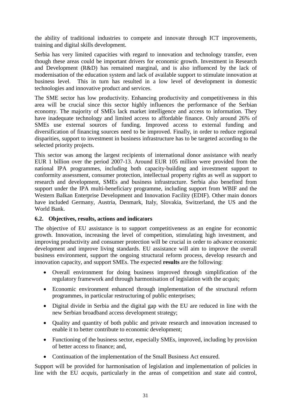the ability of traditional industries to compete and innovate through ICT improvements, training and digital skills development.

Serbia has very limited capacities with regard to innovation and technology transfer, even though these areas could be important drivers for economic growth. Investment in Research and Development (R&D) has remained marginal, and is also influenced by the lack of modernisation of the education system and lack of available support to stimulate innovation at business level. This in turn has resulted in a low level of development in domestic technologies and innovative product and services.

The SME sector has low productivity. Enhancing productivity and competitiveness in this area will be crucial since this sector highly influences the performance of the Serbian economy. The majority of SMEs lack market intelligence and access to information. They have inadequate technology and limited access to affordable finance. Only around 26% of SMEs use external sources of funding. Improved access to external funding and diversification of financing sources need to be improved. Finally, in order to reduce regional disparities, support to investment in business infrastructure has to be targeted according to the selected priority projects.

This sector was among the largest recipients of international donor assistance with nearly EUR 1 billion over the period 2007-13. Around EUR 105 million were provided from the national IPA programmes, including both capacity-building and investment support to conformity assessment, consumer protection, intellectual property rights as well as support to research and development, SMEs and business infrastructure. Serbia also benefited from support under the IPA multi-beneficiary programme, including support from WBIF and the Western Balkan Enterprise Development and Innovation Facility (EDIF). Other main donors have included Germany, Austria, Denmark, Italy, Slovakia, Switzerland, the US and the World Bank.

#### **6.2. Objectives, results, actions and indica**t**ors**

The objective of EU assistance is to support competitiveness as an engine for economic growth. Innovation, increasing the level of competition, stimulating high investment, and improving productivity and consumer protection will be crucial in order to advance economic development and improve living standards. EU assistance will aim to improve the overall business environment, support the ongoing structural reform process, develop research and innovation capacity, and support SMEs. The expected **results** are the following:

- Overall environment for doing business improved through simplification of the regulatory framework and through harmonisation of legislation with the *acquis*;
- Economic environment enhanced through implementation of the structural reform programmes, in particular restructuring of public enterprises;
- Digital divide in Serbia and the digital gap with the EU are reduced in line with the new Serbian broadband access development strategy;
- Quality and quantity of both public and private research and innovation increased to enable it to better contribute to economic development;
- Functioning of the business sector, especially SMEs, improved, including by provision of better access to finance; and,
- Continuation of the implementation of the Small Business Act ensured.

Support will be provided for harmonisation of legislation and implementation of policies in line with the EU *acquis*, particularly in the areas of competition and state aid control,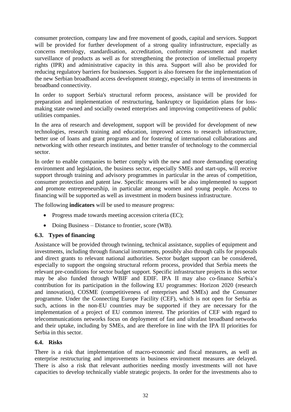consumer protection, company law and free movement of goods, capital and services. Support will be provided for further development of a strong quality infrastructure, especially as concerns metrology, standardisation, accreditation, conformity assessment and market surveillance of products as well as for strengthening the protection of intellectual property rights (IPR) and administrative capacity in this area. Support will also be provided for reducing regulatory barriers for businesses. Support is also foreseen for the implementation of the new Serbian broadband access development strategy, especially in terms of investments in broadband connectivity.

In order to support Serbia's structural reform process, assistance will be provided for preparation and implementation of restructuring, bankruptcy or liquidation plans for lossmaking state owned and socially owned enterprises and improving competitiveness of public utilities companies.

In the area of research and development, support will be provided for development of new technologies, research training and education, improved access to research infrastructure, better use of loans and grant programs and for fostering of international collaborations and networking with other research institutes, and better transfer of technology to the commercial sector.

In order to enable companies to better comply with the new and more demanding operating environment and legislation, the business sector, especially SMEs and start-ups, will receive support through training and advisory programmes in particular in the areas of competition, consumer protection and patent law. Specific measures will be also implemented to support and promote entrepreneurship, in particular among women and young people. Access to financing will be supported as well as investment in modern business infrastructure.

The following **indicators** will be used to measure progress:

- Progress made towards meeting accession criteria (EC);
- Doing Business Distance to frontier, score (WB).

## **6.3. Types of financing**

Assistance will be provided through twinning, technical assistance, supplies of equipment and investments, including through financial instruments, possibly also through calls for proposals and direct grants to relevant national authorities. Sector budget support can be considered, especially to support the ongoing structural reform process, provided that Serbia meets the relevant pre-conditions for sector budget support. Specific infrastructure projects in this sector may be also funded through WBIF and EDIF. IPA II may also co-finance Serbia's contribution for its participation in the following EU programmes: Horizon 2020 (research and innovation), COSME (competitiveness of enterprises and SMEs) and the Consumer programme. Under the Connecting Europe Facility (CEF), which is not open for Serbia as such, actions in the non-EU countries may be supported if they are necessary for the implementation of a project of EU common interest. The priorities of CEF with regard to telecommunications networks focus on deployment of fast and ultrafast broadband networks and their uptake, including by SMEs, and are therefore in line with the IPA II priorities for Serbia in this sector.

#### **6.4. Risks**

There is a risk that implementation of macro-economic and fiscal measures, as well as enterprise restructuring and improvements in business environment measures are delayed. There is also a risk that relevant authorities needing mostly investments will not have capacities to develop technically viable strategic projects. In order for the investments also to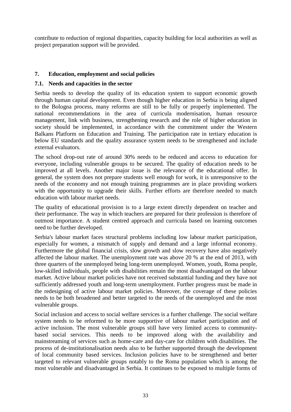contribute to reduction of regional disparities, capacity building for local authorities as well as project preparation support will be provided.

## <span id="page-32-0"></span>**7. Education, employment and social policies**

#### **7.1. Needs and capacities in the sector**

Serbia needs to develop the quality of its education system to support economic growth through human capital development. Even though higher education in Serbia is being aligned to the Bologna process, many reforms are still to be fully or properly implemented. The national recommendations in the area of curricula modernisation, human resource management, link with business, strengthening research and the role of higher education in society should be implemented, in accordance with the commitment under the Western Balkans Platform on Education and Training. The participation rate in tertiary education is below EU standards and the quality assurance system needs to be strengthened and include external evaluators.

The school drop-out rate of around 30% needs to be reduced and access to education for everyone, including vulnerable groups to be secured. The quality of education needs to be improved at all levels. Another major issue is the relevance of the educational offer. In general, the system does not prepare students well enough for work, it is unresponsive to the needs of the economy and not enough training programmes are in place providing workers with the opportunity to upgrade their skills. Further efforts are therefore needed to match education with labour market needs.

The quality of educational provision is to a large extent directly dependent on teacher and their performance. The way in which teachers are prepared for their profession is therefore of outmost importance. A student centred approach and curricula based on learning outcomes need to be further developed.

Serbia's labour market faces structural problems including low labour market participation, especially for women, a mismatch of supply and demand and a large informal economy. Furthermore the global financial crisis, slow growth and slow recovery have also negatively affected the labour market. The unemployment rate was above 20 % at the end of 2013, with three quarters of the unemployed being long-term unemployed. Women, youth, Roma people, low-skilled individuals, people with disabilities remain the most disadvantaged on the labour market. Active labour market policies have not received substantial funding and they have not sufficiently addressed youth and long-term unemployment. Further progress must be made in the redesigning of active labour market policies. Moreover, the coverage of these policies needs to be both broadened and better targeted to the needs of the unemployed and the most vulnerable groups.

Social inclusion and access to social welfare services is a further challenge. The social welfare system needs to be reformed to be more supportive of labour market participation and of active inclusion. The most vulnerable groups still have very limited access to communitybased social services. This needs to be improved along with the availability and mainstreaming of services such as home-care and day-care for children with disabilities. The process of de-institutionalisation needs also to be further supported through the development of local community based services. Inclusion policies have to be strengthened and better targeted to relevant vulnerable groups notably to the Roma population which is among the most vulnerable and disadvantaged in Serbia. It continues to be exposed to multiple forms of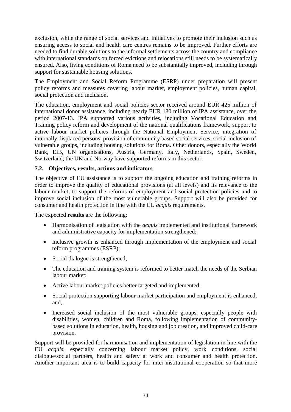exclusion, while the range of social services and initiatives to promote their inclusion such as ensuring access to social and health care centres remains to be improved. Further efforts are needed to find durable solutions to the informal settlements across the country and compliance with international standards on forced evictions and relocations still needs to be systematically ensured. Also, living conditions of Roma need to be substantially improved, including through support for sustainable housing solutions.

The Employment and Social Reform Programme (ESRP) under preparation will present policy reforms and measures covering labour market, employment policies, human capital, social protection and inclusion.

The education, employment and social policies sector received around EUR 425 million of international donor assistance, including nearly EUR 180 million of IPA assistance, over the period 2007-13. IPA supported various activities, including Vocational Education and Training policy reform and development of the national qualifications framework, support to active labour market policies through the National Employment Service, integration of internally displaced persons, provision of community based social services, social inclusion of vulnerable groups, including housing solutions for Roma. Other donors, especially the World Bank, EIB, UN organisations, Austria, Germany, Italy, Netherlands, Spain, Sweden, Switzerland, the UK and Norway have supported reforms in this sector.

#### **7.2. Objectives, results, actions and indicators**

The objective of EU assistance is to support the ongoing education and training reforms in order to improve the quality of educational provisions (at all levels) and its relevance to the labour market, to support the reforms of employment and social protection policies and to improve social inclusion of the most vulnerable groups. Support will also be provided for consumer and health protection in line with the EU *acquis* requirements.

The expected **results** are the following:

- Harmonisation of legislation with the *acquis* implemented and institutional framework and administrative capacity for implementation strengthened;
- Inclusive growth is enhanced through implementation of the employment and social reform programmes (ESRP);
- Social dialogue is strengthened;
- The education and training system is reformed to better match the needs of the Serbian labour market;
- Active labour market policies better targeted and implemented;
- Social protection supporting labour market participation and employment is enhanced; and,
- Increased social inclusion of the most vulnerable groups, especially people with disabilities, women, children and Roma, following implementation of communitybased solutions in education, health, housing and job creation, and improved child-care provision.

Support will be provided for harmonisation and implementation of legislation in line with the EU *acquis*, especially concerning labour market policy, work conditions, social dialogue/social partners, health and safety at work and consumer and health protection. Another important area is to build capacity for inter-institutional cooperation so that more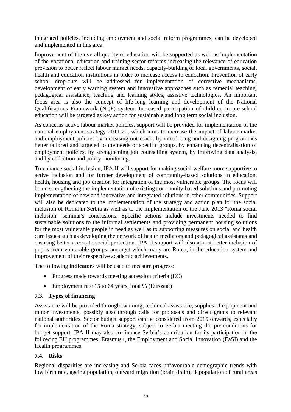integrated policies, including employment and social reform programmes, can be developed and implemented in this area.

Improvement of the overall quality of education will be supported as well as implementation of the vocational education and training sector reforms increasing the relevance of education provision to better reflect labour market needs, capacity-building of local governments, social, health and education institutions in order to increase access to education. Prevention of early school drop-outs will be addressed for implementation of corrective mechanisms, development of early warning system and innovative approaches such as remedial teaching, pedagogical assistance, teaching and learning styles, assistive technologies. An important focus area is also the concept of life-long learning and development of the National Qualifications Framework (NQF) system. Increased participation of children in pre-school education will be targeted as key action for sustainable and long term social inclusion.

As concerns active labour market policies, support will be provided for implementation of the national employment strategy 2011-20, which aims to increase the impact of labour market and employment policies by increasing out-reach, by introducing and designing programmes better tailored and targeted to the needs of specific groups, by enhancing decentralisation of employment policies, by strengthening job counselling system, by improving data analysis, and by collection and policy monitoring.

To enhance social inclusion, IPA II will support for making social welfare more supportive to active inclusion and for further development of community-based solutions in education, health, housing and job creation for integration of the most vulnerable groups. The focus will be on strengthening the implementation of existing community based solutions and promoting implementation of new and innovative and integrated solutions in other communities. Support will also be dedicated to the implementation of the strategy and action plan for the social inclusion of Roma in Serbia as well as to the implementation of the June 2013 "Roma social inclusion" seminar's conclusions. Specific actions include investments needed to find sustainable solutions to the informal settlements and providing permanent housing solutions for the most vulnerable people in need as well as to supporting measures on social and health care issues such as developing the network of health mediators and pedagogical assistants and ensuring better access to social protection. IPA II support will also aim at better inclusion of pupils from vulnerable groups, amongst which many are Roma, in the education system and improvement of their respective academic achievements.

The following **indicators** will be used to measure progress:

- Progress made towards meeting accession criteria (EC)
- Employment rate 15 to 64 years, total % (Eurostat)

#### **7.3. Types of financing**

Assistance will be provided through twinning, technical assistance, supplies of equipment and minor investments, possibly also through calls for proposals and direct grants to relevant national authorities. Sector budget support can be considered from 2015 onwards, especially for implementation of the Roma strategy, subject to Serbia meeting the pre-conditions for budget support. IPA II may also co-finance Serbia's contribution for its participation in the following EU programmes: Erasmus+, the Employment and Social Innovation (EaSI) and the Health programmes.

## **7.4. Risks**

Regional disparities are increasing and Serbia faces unfavourable demographic trends with low birth rate, ageing population, outward migration (brain drain), depopulation of rural areas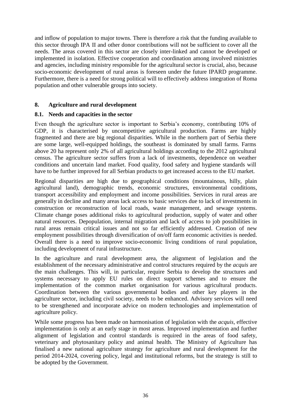and inflow of population to major towns. There is therefore a risk that the funding available to this sector through IPA II and other donor contributions will not be sufficient to cover all the needs. The areas covered in this sector are closely inter-linked and cannot be developed or implemented in isolation. Effective cooperation and coordination among involved ministries and agencies, including ministry responsible for the agricultural sector is crucial, also, because socio-economic development of rural areas is foreseen under the future IPARD programme. Furthermore, there is a need for strong political will to effectively address integration of Roma population and other vulnerable groups into society.

#### <span id="page-35-0"></span>**8. Agriculture and rural development**

#### **8.1. Needs and capacities in the sector**

Even though the agriculture sector is important to Serbia's economy, contributing 10% of GDP, it is characterised by uncompetitive agricultural production. Farms are highly fragmented and there are big regional disparities. While in the northern part of Serbia there are some large, well-equipped holdings, the southeast is dominated by small farms. Farms above 20 ha represent only 2% of all agricultural holdings according to the 2012 agricultural census. The agriculture sector suffers from a lack of investments, dependence on weather conditions and uncertain land market. Food quality, food safety and hygiene standards will have to be further improved for all Serbian products to get increased access to the EU market.

Regional disparities are high due to geographical conditions (mountainous, hilly, plain agricultural land), demographic trends, economic structures, environmental conditions, transport accessibility and employment and income possibilities. Services in rural areas are generally in decline and many areas lack access to basic services due to lack of investments in construction or reconstruction of local roads, waste management, and sewage systems. Climate change poses additional risks to agricultural production, supply of water and other natural resources. Depopulation, internal migration and lack of access to job possibilities in rural areas remain critical issues and not so far efficiently addressed. Creation of new employment possibilities through diversification of on/off farm economic activities is needed. Overall there is a need to improve socio-economic living conditions of rural population, including development of rural infrastructure.

In the agriculture and rural development area, the alignment of legislation and the establishment of the necessary administrative and control structures required by the *acquis* are the main challenges. This will, in particular, require Serbia to develop the structures and systems necessary to apply EU rules on direct support schemes and to ensure the implementation of the common market organisation for various agricultural products. Coordination between the various governmental bodies and other key players in the agriculture sector, including civil society, needs to be enhanced. Advisory services will need to be strengthened and incorporate advice on modern technologies and implementation of agriculture policy.

While some progress has been made on harmonisation of legislation with the *acquis*, effective implementation is only at an early stage in most areas. Improved implementation and further alignment of legislation and control standards is required in the areas of food safety, veterinary and phytosanitary policy and animal health. The Ministry of Agriculture has finalised a new national agriculture strategy for agriculture and rural development for the period 2014-2024, covering policy, legal and institutional reforms, but the strategy is still to be adopted by the Government.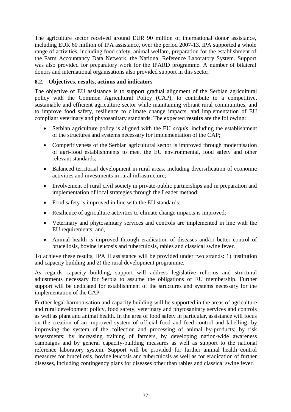The agriculture sector received around EUR 90 million of international donor assistance, including EUR 60 million of IPA assistance, over the period 2007-13. IPA supported a whole range of activities, including food safety, animal welfare, preparation for the establishment of the Farm Accountancy Data Network, the National Reference Laboratory System. Support was also provided for preparatory work for the IPARD programme. A number of bilateral donors and international organisations also provided support in this sector.

#### **8.2. Objectives, results, actions and indicators**

The objective of EU assistance is to support gradual alignment of the Serbian agricultural policy with the Common Agricultural Policy (CAP), to contribute to a competitive, sustainable and efficient agriculture sector while maintaining vibrant rural communities, and to improve food safety, resilience to climate change impacts, and implementation of EU compliant veterinary and phytosanitary standards. The expected **results** are the following:

- Serbian agriculture policy is aligned with the EU *acquis*, including the establishment of the structures and systems necessary for implementation of the CAP;
- Competitiveness of the Serbian agricultural sector is improved through modernisation of agri-food establishments to meet the EU environmental, food safety and other relevant standards;
- Balanced territorial development in rural areas, including diversification of economic activities and investments in rural infrastructure;
- Involvement of rural civil society in private-public partnerships and in preparation and implementation of local strategies through the Leader method;
- Food safety is improved in line with the EU standards;
- Resilience of agriculture activities to climate change impacts is improved:
- Veterinary and phytosanitary services and controls are implemented in line with the EU requirements; and,
- Animal health is improved through eradication of diseases and/or better control of brucellosis, bovine leucosis and tuberculosis, rabies and classical swine fever.

To achieve these results, IPA II assistance will be provided under two strands: 1) institution and capacity building and 2) the rural development programme.

As regards capacity building, support will address legislative reforms and structural adjustments necessary for Serbia to assume the obligations of EU membership. Further support will be dedicated for establishment of the structures and systems necessary for the implementation of the CAP.

Further legal harmonisation and capacity building will be supported in the areas of agriculture and rural development policy, food safety, veterinary and phytosanitary services and controls as well as plant and animal health. In the area of food safety in particular, assistance will focus on the creation of an improved system of official food and feed control and labelling; by improving the system of the collection and processing of animal by-products; by risk assessments; by increasing training of farmers, by developing nation-wide awareness campaigns and by general capacity-building measures as well as support to the national reference laboratory system. Support will be provided for further animal health control measures for brucellosis, bovine leucosis and tuberculosis as well as for eradication of further diseases, including contingency plans for diseases other than rabies and classical swine fever.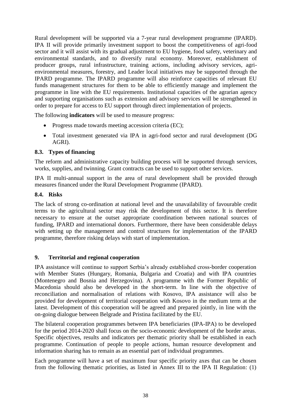Rural development will be supported via a 7-year rural development programme (IPARD). IPA II will provide primarily investment support to boost the competitiveness of agri-food sector and it will assist with its gradual adjustment to EU hygiene, food safety, veterinary and environmental standards, and to diversify rural economy. Moreover, establishment of producer groups, rural infrastructure, training actions, including advisory services, agrienvironmental measures, forestry, and Leader local initiatives may be supported through the IPARD programme. The IPARD programme will also reinforce capacities of relevant EU funds management structures for them to be able to efficiently manage and implement the programme in line with the EU requirements. Institutional capacities of the agrarian agency and supporting organisations such as extension and advisory services will be strengthened in order to prepare for access to EU support through direct implementation of projects.

The following **indicators** will be used to measure progress:

- Progress made towards meeting accession criteria (EC);
- Total investment generated via IPA in agri-food sector and rural development (DG AGRI).

#### **8.3. Types of financing**

The reform and administrative capacity building process will be supported through services, works, supplies, and twinning. Grant contracts can be used to support other services.

IPA II multi-annual support in the area of rural development shall be provided through measures financed under the Rural Development Programme (IPARD).

#### **8.4. Risks**

The lack of strong co-ordination at national level and the unavailability of favourable credit terms to the agricultural sector may risk the development of this sector. It is therefore necessary to ensure at the outset appropriate coordination between national sources of funding, IPARD and international donors. Furthermore, there have been considerable delays with setting up the management and control structures for implementation of the IPARD programme, therefore risking delays with start of implementation.

#### <span id="page-37-0"></span>**9. Territorial and regional cooperation**

IPA assistance will continue to support Serbia's already established cross-border cooperation with Member States (Hungary, Romania, Bulgaria and Croatia) and with IPA countries (Montenegro and Bosnia and Herzegovina). A programme with the Former Republic of Macedonia should also be developed in the short-term. In line with the objective of reconciliation and normalisation of relations with Kosovo, IPA assistance will also be provided for development of territorial cooperation with Kosovo in the medium term at the latest. Development of this cooperation will be agreed and prepared jointly, in line with the on-going dialogue between Belgrade and Pristina facilitated by the EU.

The bilateral cooperation programmes between IPA beneficiaries (IPA-IPA) to be developed for the period 2014-2020 shall focus on the socio-economic development of the border areas. Specific objectives, results and indicators per thematic priority shall be established in each programme. Continuation of people to people actions, human resource development and information sharing has to remain as an essential part of individual programmes.

Each programme will have a set of maximum four specific priority axes that can be chosen from the following thematic priorities, as listed in Annex III to the IPA II Regulation: (1)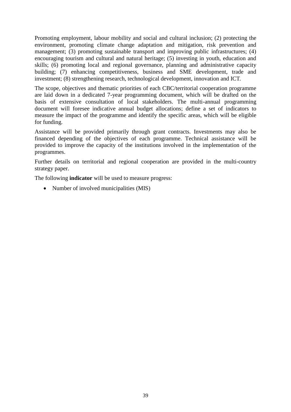Promoting employment, labour mobility and social and cultural inclusion; (2) protecting the environment, promoting climate change adaptation and mitigation, risk prevention and management; (3) promoting sustainable transport and improving public infrastructures; (4) encouraging tourism and cultural and natural heritage; (5) investing in youth, education and skills; (6) promoting local and regional governance, planning and administrative capacity building; (7) enhancing competitiveness, business and SME development, trade and investment; (8) strengthening research, technological development, innovation and ICT.

The scope, objectives and thematic priorities of each CBC/territorial cooperation programme are laid down in a dedicated 7-year programming document, which will be drafted on the basis of extensive consultation of local stakeholders. The multi-annual programming document will foresee indicative annual budget allocations; define a set of indicators to measure the impact of the programme and identify the specific areas, which will be eligible for funding.

Assistance will be provided primarily through grant contracts. Investments may also be financed depending of the objectives of each programme. Technical assistance will be provided to improve the capacity of the institutions involved in the implementation of the programmes.

Further details on territorial and regional cooperation are provided in the multi-country strategy paper.

The following **indicator** will be used to measure progress:

• Number of involved municipalities (MIS)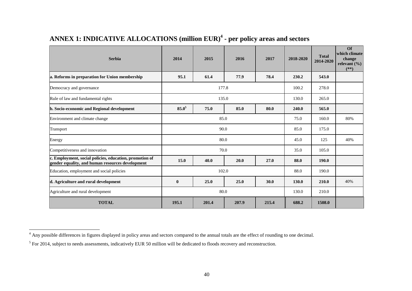| <b>Serbia</b>                                                                                               | 2014         | 2015  | 2016  | 2017  | 2018-2020 | <b>Total</b><br>2014-2020 | $\Omega$<br>which climate<br>change<br>relevant $(\% )$<br>$(**)$ |
|-------------------------------------------------------------------------------------------------------------|--------------|-------|-------|-------|-----------|---------------------------|-------------------------------------------------------------------|
| a. Reforms in preparation for Union membership                                                              | 95.1         | 61.4  | 77.9  | 78.4  | 230.2     | 543.0                     |                                                                   |
| Democracy and governance                                                                                    |              | 177.8 |       |       | 100.2     | 278.0                     |                                                                   |
| Rule of law and fundamental rights                                                                          |              | 135.0 |       |       | 130.0     | 265.0                     |                                                                   |
| b. Socio-economic and Regional development                                                                  | $85.0^{5}$   | 75.0  | 85.0  | 80.0  | 240.0     | 565.0                     |                                                                   |
| Environment and climate change                                                                              |              | 75.0  | 160.0 | 80%   |           |                           |                                                                   |
| Transport                                                                                                   | 90.0         |       |       | 85.0  | 175.0     |                           |                                                                   |
| Energy                                                                                                      | 80.0         |       |       | 45.0  | 125       | 40%                       |                                                                   |
| Competitiveness and innovation                                                                              | 70.0         |       |       |       | 35.0      | 105.0                     |                                                                   |
| c. Employment, social policies, education, promotion of<br>gender equality, and human resources development | 15.0         | 40.0  | 20.0  | 27.0  | 88.0      | 190.0                     |                                                                   |
| Education, employment and social policies                                                                   |              | 88.0  | 190.0 |       |           |                           |                                                                   |
| d. Agriculture and rural development                                                                        | $\mathbf{0}$ | 25.0  | 25.0  | 30.0  | 130.0     | 210.0                     | 40%                                                               |
| Agriculture and rural development                                                                           | 80.0         |       |       |       | 130.0     | 210.0                     |                                                                   |
| <b>TOTAL</b>                                                                                                | 195.1        | 201.4 | 207.9 | 215.4 | 688.2     | 1508.0                    |                                                                   |

# **ANNEX 1: INDICATIVE ALLOCATIONS (million EUR) 4 - per policy areas and sectors**

<span id="page-39-0"></span> $\overline{a}$ 

<sup>&</sup>lt;sup>4</sup> Any possible differences in figures displayed in policy areas and sectors compared to the annual totals are the effect of rounding to one decimal.

<span id="page-39-1"></span> $<sup>5</sup>$  For 2014, subject to needs assessments, indicatively EUR 50 million will be dedicated to floods recovery and reconstruction.</sup>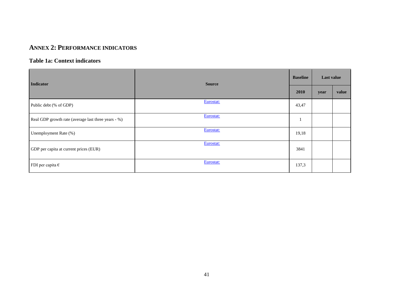## **ANNEX 2: PERFORMANCE INDICATORS**

#### **Table 1a: Context indicators**

| Indicator                                           | <b>Source</b> |       | Last value |       |
|-----------------------------------------------------|---------------|-------|------------|-------|
|                                                     |               | 2010  | year       | value |
| Public debt (% of GDP)                              | Eurostat:     | 43,47 |            |       |
| Real GDP growth rate (average last three years - %) | Eurostat:     |       |            |       |
| Unemployment Rate (%)                               | Eurostat:     | 19,18 |            |       |
| GDP per capita at current prices (EUR)              | Eurostat:     | 3841  |            |       |
| FDI per capita $\epsilon$                           | Eurostat:     | 137,3 |            |       |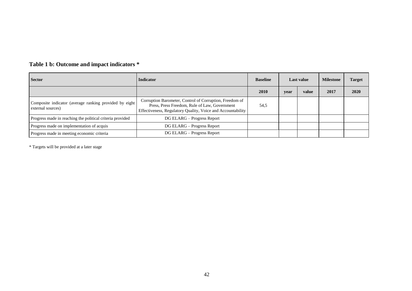| <b>Sector</b>                                                               | <b>Indicator</b>                                                                                                                                                        | <b>Baseline</b> | Last value |       | <b>Milestone</b> | <b>Target</b> |
|-----------------------------------------------------------------------------|-------------------------------------------------------------------------------------------------------------------------------------------------------------------------|-----------------|------------|-------|------------------|---------------|
|                                                                             |                                                                                                                                                                         | <b>2010</b>     | year       | value | 2017             | 2020          |
| Composite indicator (average ranking provided by eight<br>external sources) | Corruption Barometer, Control of Corruption, Freedom of<br>Press, Press Freedom, Rule of Law, Government<br>Effectiveness, Regulatory Quality, Voice and Accountability | 54,5            |            |       |                  |               |
| Progress made in reaching the political criteria provided                   | DG ELARG – Progress Report                                                                                                                                              |                 |            |       |                  |               |
| Progress made on implementation of acquis                                   | DG ELARG – Progress Report                                                                                                                                              |                 |            |       |                  |               |
| Progress made in meeting economic criteria                                  | DG ELARG – Progress Report                                                                                                                                              |                 |            |       |                  |               |

# **Table 1 b: Outcome and impact indicators \***

\* Targets will be provided at a later stage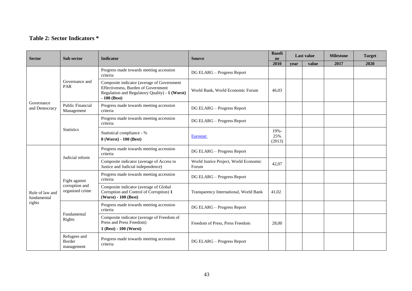## **Table 2: Sector Indicators \***

| <b>Sector</b>                            | Sub sector                                         | <b>Indicator</b>                                                                                                                                     | <b>Source</b>                                  | <b>Baseli</b><br>ne   | <b>Last value</b> |       | <b>Milestone</b> | <b>Target</b> |
|------------------------------------------|----------------------------------------------------|------------------------------------------------------------------------------------------------------------------------------------------------------|------------------------------------------------|-----------------------|-------------------|-------|------------------|---------------|
|                                          |                                                    |                                                                                                                                                      |                                                | 2010                  | vear              | value | 2017             | 2020          |
|                                          | Governance and<br>PAR                              | Progress made towards meeting accession<br>criteria                                                                                                  | DG ELARG - Progress Report                     |                       |                   |       |                  |               |
|                                          |                                                    | Composite indicator (average of Government<br>Effectiveness, Burden of Government<br>Regulation and Regulatory Quality) - 1 (Worst)<br>$-100$ (Best) | World Bank, World Economic Forum               | 46.03                 |                   |       |                  |               |
| Governance<br>and Democracy              | Public Financial<br>Management                     | Progress made towards meeting accession<br>criteria                                                                                                  | DG ELARG - Progress Report                     |                       |                   |       |                  |               |
|                                          | <b>Statistics</b>                                  | Progress made towards meeting accession<br>criteria                                                                                                  | DG ELARG - Progress Report                     |                       |                   |       |                  |               |
|                                          |                                                    | Statistical compliance - %<br>$0$ (Worst) - $100$ (Best)                                                                                             | Eurostat:                                      | 19%-<br>25%<br>(2013) |                   |       |                  |               |
|                                          | Judicial reform                                    | Progress made towards meeting accession<br>criteria                                                                                                  | DG ELARG - Progress Report                     |                       |                   |       |                  |               |
|                                          |                                                    | Composite indicator (average of Access to<br>Justice and Judicial independence)                                                                      | World Justice Project, World Economic<br>Forum | 42,07                 |                   |       |                  |               |
|                                          | Fight against<br>corruption and<br>organised crime | Progress made towards meeting accession<br>criteria                                                                                                  | DG ELARG - Progress Report                     |                       |                   |       |                  |               |
| Rule of law and<br>fundamental<br>rights |                                                    | Composite indicator (average of Global<br>Corruption and Control of Corruption) 1<br>(Worst) - 100 (Best)                                            | Transparency International, World Bank         | 41.02                 |                   |       |                  |               |
|                                          | Fundamental<br>Rights                              | Progress made towards meeting accession<br>criteria                                                                                                  | DG ELARG - Progress Report                     |                       |                   |       |                  |               |
|                                          |                                                    | Composite indicator (average of Freedom of<br>Press and Press Freedom)<br>1 (Best) - 100 (Worst)                                                     | Freedom of Press, Press Freedom                | 28,00                 |                   |       |                  |               |
|                                          | Refugees and<br>Border<br>management               | Progress made towards meeting accession<br>criteria                                                                                                  | DG ELARG - Progress Report                     |                       |                   |       |                  |               |